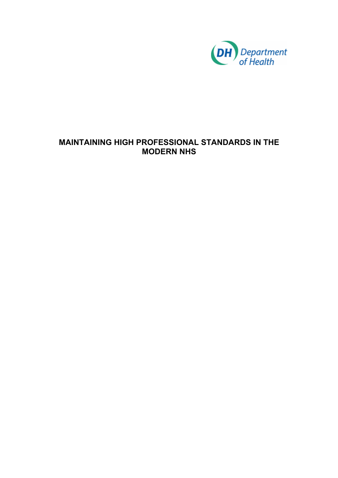

# **MAINTAINING HIGH PROFESSIONAL STANDARDS IN THE MODERN NHS**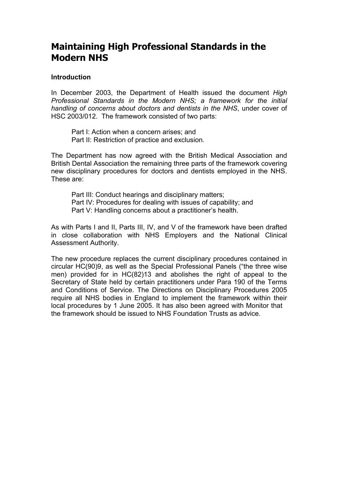#### **Introduction**

In December 2003, the Department of Health issued the document *High Professional Standards in the Modern NHS; a framework for the initial handling of concerns about doctors and dentists in the NHS*, under cover of HSC 2003/012. The framework consisted of two parts:

Part I: Action when a concern arises; and Part II: Restriction of practice and exclusion.

The Department has now agreed with the British Medical Association and British Dental Association the remaining three parts of the framework covering new disciplinary procedures for doctors and dentists employed in the NHS. These are:

Part III: Conduct hearings and disciplinary matters; Part IV: Procedures for dealing with issues of capability; and Part V: Handling concerns about a practitioner's health.

As with Parts I and II, Parts III, IV, and V of the framework have been drafted in close collaboration with NHS Employers and the National Clinical Assessment Authority.

The new procedure replaces the current disciplinary procedures contained in circular HC(90)9, as well as the Special Professional Panels ("the three wise men) provided for in HC(82)13 and abolishes the right of appeal to the Secretary of State held by certain practitioners under Para 190 of the Terms and Conditions of Service. The Directions on Disciplinary Procedures 2005 require all NHS bodies in England to implement the framework within their local procedures by 1 June 2005. It has also been agreed with Monitor that the framework should be issued to NHS Foundation Trusts as advice.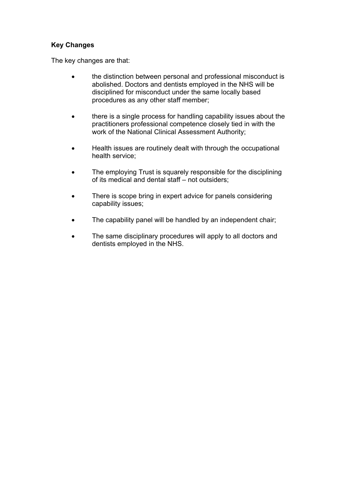#### **Key Changes**

The key changes are that:

- the distinction between personal and professional misconduct is abolished. Doctors and dentists employed in the NHS will be disciplined for misconduct under the same locally based procedures as any other staff member;
- there is a single process for handling capability issues about the practitioners professional competence closely tied in with the work of the National Clinical Assessment Authority;
- Health issues are routinely dealt with through the occupational health service;
- The employing Trust is squarely responsible for the disciplining of its medical and dental staff – not outsiders;
- There is scope bring in expert advice for panels considering capability issues;
- The capability panel will be handled by an independent chair;
- The same disciplinary procedures will apply to all doctors and dentists employed in the NHS.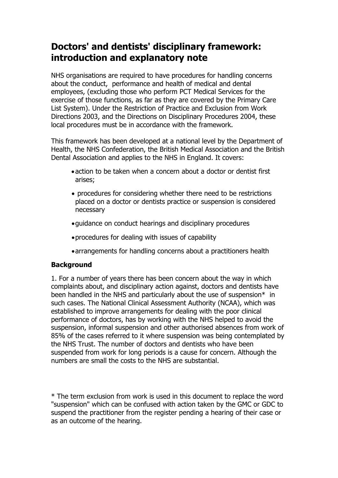# **Doctors' and dentists' disciplinary framework: introduction and explanatory note**

NHS organisations are required to have procedures for handling concerns about the conduct, performance and health of medical and dental employees, (excluding those who perform PCT Medical Services for the exercise of those functions, as far as they are covered by the Primary Care List System). Under the Restriction of Practice and Exclusion from Work Directions 2003, and the Directions on Disciplinary Procedures 2004, these local procedures must be in accordance with the framework.

This framework has been developed at a national level by the Department of Health, the NHS Confederation, the British Medical Association and the British Dental Association and applies to the NHS in England. It covers:

- •action to be taken when a concern about a doctor or dentist first arises;
- procedures for considering whether there need to be restrictions placed on a doctor or dentists practice or suspension is considered necessary
- •guidance on conduct hearings and disciplinary procedures
- •procedures for dealing with issues of capability
- •arrangements for handling concerns about a practitioners health

#### **Background**

1. For a number of years there has been concern about the way in which complaints about, and disciplinary action against, doctors and dentists have been handled in the NHS and particularly about the use of suspension\* in such cases. The National Clinical Assessment Authority (NCAA), which was established to improve arrangements for dealing with the poor clinical performance of doctors, has by working with the NHS helped to avoid the suspension, informal suspension and other authorised absences from work of 85% of the cases referred to it where suspension was being contemplated by the NHS Trust. The number of doctors and dentists who have been suspended from work for long periods is a cause for concern. Although the numbers are small the costs to the NHS are substantial.

\* The term exclusion from work is used in this document to replace the word "suspension" which can be confused with action taken by the GMC or GDC to suspend the practitioner from the register pending a hearing of their case or as an outcome of the hearing.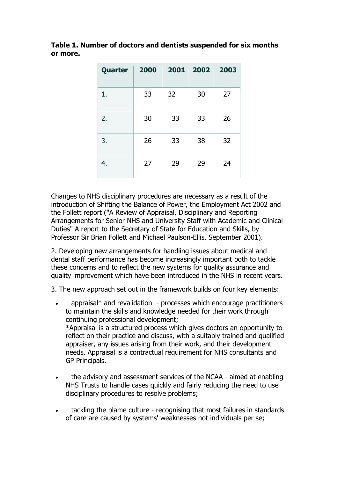| Quarter | 2000 |    | 2001 2002 2003 |    |
|---------|------|----|----------------|----|
| 1.      | 33   | 32 | 30             | 27 |
| 2.      | 30   | 33 | 33             | 26 |
| 3.      | 26   | 33 | 38             | 32 |
| 4.      | 27   | 29 | 29             | 24 |

**Table 1. Number of doctors and dentists suspended for six months or more.** 

Changes to NHS disciplinary procedures are necessary as a result of the introduction of Shifting the Balance of Power, the Employment Act 2002 and the Follett report ("A Review of Appraisal, Disciplinary and Reporting Arrangements for Senior NHS and University Staff with Academic and Clinical Duties" A report to the Secretary of State for Education and Skills, by Professor Sir Brian Follett and Michael Paulson-Ellis, September 2001).

2. Developing new arrangements for handling issues about medical and dental staff performance has become increasingly important both to tackle these concerns and to reflect the new systems for quality assurance and quality improvement which have been introduced in the NHS in recent years.

3. The new approach set out in the framework builds on four key elements:

- appraisal<sup>\*</sup> and revalidation processes which encourage practitioners to maintain the skills and knowledge needed for their work through continuing professional development; \*Appraisal is a structured process which gives doctors an opportunity to reflect on their practice and discuss, with a suitably trained and qualified appraiser, any issues arising from their work, and their development needs. Appraisal is a contractual requirement for NHS consultants and GP Principals.
- the advisory and assessment services of the NCAA aimed at enabling NHS Trusts to handle cases quickly and fairly reducing the need to use disciplinary procedures to resolve problems;
- tackling the blame culture recognising that most failures in standards of care are caused by systems' weaknesses not individuals per se;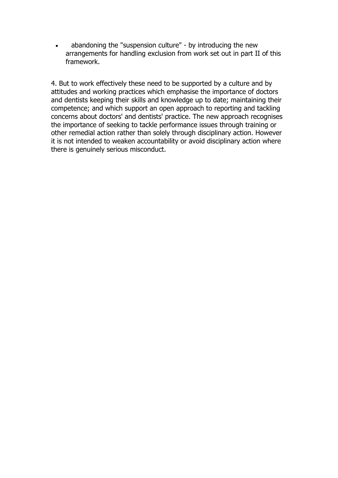• abandoning the "suspension culture" - by introducing the new arrangements for handling exclusion from work set out in part II of this framework.

4. But to work effectively these need to be supported by a culture and by attitudes and working practices which emphasise the importance of doctors and dentists keeping their skills and knowledge up to date; maintaining their competence; and which support an open approach to reporting and tackling concerns about doctors' and dentists' practice. The new approach recognises the importance of seeking to tackle performance issues through training or other remedial action rather than solely through disciplinary action. However it is not intended to weaken accountability or avoid disciplinary action where there is genuinely serious misconduct.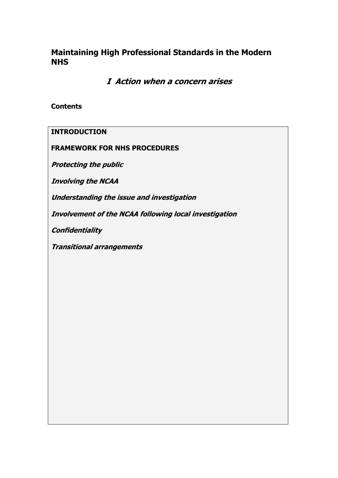**I Action when a concern arises** 

**Contents** 

**INTRODUCTION** 

**FRAMEWORK FOR NHS PROCEDURES** 

**Protecting the public** 

**Involving the NCAA** 

**Understanding the issue and investigation** 

**Involvement of the NCAA following local investigation** 

**Confidentiality** 

**Transitional arrangements**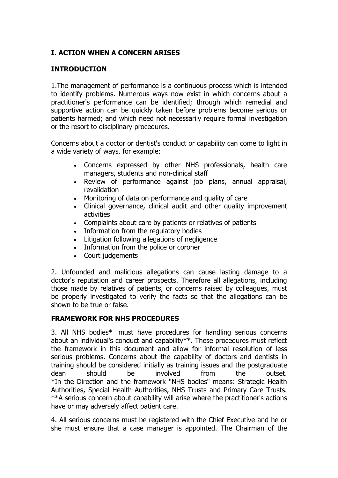## **I. ACTION WHEN A CONCERN ARISES**

### **INTRODUCTION**

1.The management of performance is a continuous process which is intended to identify problems. Numerous ways now exist in which concerns about a practitioner's performance can be identified; through which remedial and supportive action can be quickly taken before problems become serious or patients harmed; and which need not necessarily require formal investigation or the resort to disciplinary procedures.

Concerns about a doctor or dentist's conduct or capability can come to light in a wide variety of ways, for example:

- Concerns expressed by other NHS professionals, health care managers, students and non-clinical staff
- Review of performance against job plans, annual appraisal, revalidation
- Monitoring of data on performance and quality of care
- Clinical governance, clinical audit and other quality improvement activities
- Complaints about care by patients or relatives of patients
- Information from the regulatory bodies
- Litigation following allegations of negligence
- Information from the police or coroner
- Court judgements

2. Unfounded and malicious allegations can cause lasting damage to a doctor's reputation and career prospects. Therefore all allegations, including those made by relatives of patients, or concerns raised by colleagues, must be properly investigated to verify the facts so that the allegations can be shown to be true or false.

#### **FRAMEWORK FOR NHS PROCEDURES**

3. All NHS bodies\* must have procedures for handling serious concerns about an individual's conduct and capability\*\*. These procedures must reflect the framework in this document and allow for informal resolution of less serious problems. Concerns about the capability of doctors and dentists in training should be considered initially as training issues and the postgraduate dean should be involved from the outset. \*In the Direction and the framework "NHS bodies" means: Strategic Health Authorities, Special Health Authorities, NHS Trusts and Primary Care Trusts. \*\*A serious concern about capability will arise where the practitioner's actions have or may adversely affect patient care.

4. All serious concerns must be registered with the Chief Executive and he or she must ensure that a case manager is appointed. The Chairman of the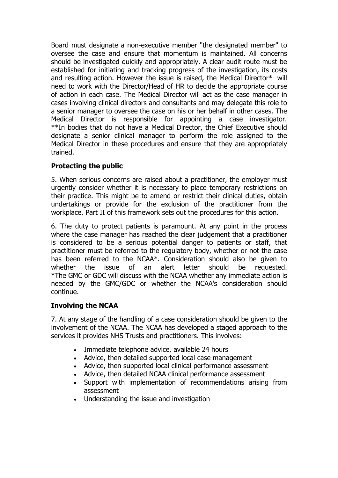Board must designate a non-executive member "the designated member" to oversee the case and ensure that momentum is maintained. All concerns should be investigated quickly and appropriately. A clear audit route must be established for initiating and tracking progress of the investigation, its costs and resulting action. However the issue is raised, the Medical Director\* will need to work with the Director/Head of HR to decide the appropriate course of action in each case. The Medical Director will act as the case manager in cases involving clinical directors and consultants and may delegate this role to a senior manager to oversee the case on his or her behalf in other cases. The Medical Director is responsible for appointing a case investigator. \*\*In bodies that do not have a Medical Director, the Chief Executive should designate a senior clinical manager to perform the role assigned to the Medical Director in these procedures and ensure that they are appropriately trained.

## **Protecting the public**

5. When serious concerns are raised about a practitioner, the employer must urgently consider whether it is necessary to place temporary restrictions on their practice. This might be to amend or restrict their clinical duties, obtain undertakings or provide for the exclusion of the practitioner from the workplace. Part II of this framework sets out the procedures for this action.

6. The duty to protect patients is paramount. At any point in the process where the case manager has reached the clear judgement that a practitioner is considered to be a serious potential danger to patients or staff, that practitioner must be referred to the regulatory body, whether or not the case has been referred to the NCAA\*. Consideration should also be given to whether the issue of an alert letter should be requested. \*The GMC or GDC will discuss with the NCAA whether any immediate action is needed by the GMC/GDC or whether the NCAA's consideration should continue.

#### **Involving the NCAA**

7. At any stage of the handling of a case consideration should be given to the involvement of the NCAA. The NCAA has developed a staged approach to the services it provides NHS Trusts and practitioners. This involves:

- Immediate telephone advice, available 24 hours
- Advice, then detailed supported local case management
- Advice, then supported local clinical performance assessment
- Advice, then detailed NCAA clinical performance assessment
- Support with implementation of recommendations arising from assessment
- Understanding the issue and investigation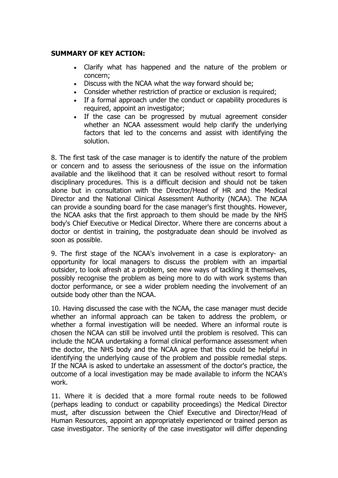#### **SUMMARY OF KEY ACTION:**

- Clarify what has happened and the nature of the problem or concern;
- Discuss with the NCAA what the way forward should be;
- Consider whether restriction of practice or exclusion is required:
- If a formal approach under the conduct or capability procedures is required, appoint an investigator;
- If the case can be progressed by mutual agreement consider whether an NCAA assessment would help clarify the underlying factors that led to the concerns and assist with identifying the solution.

8. The first task of the case manager is to identify the nature of the problem or concern and to assess the seriousness of the issue on the information available and the likelihood that it can be resolved without resort to formal disciplinary procedures. This is a difficult decision and should not be taken alone but in consultation with the Director/Head of HR and the Medical Director and the National Clinical Assessment Authority (NCAA). The NCAA can provide a sounding board for the case manager's first thoughts. However, the NCAA asks that the first approach to them should be made by the NHS body's Chief Executive or Medical Director. Where there are concerns about a doctor or dentist in training, the postgraduate dean should be involved as soon as possible.

9. The first stage of the NCAA's involvement in a case is exploratory- an opportunity for local managers to discuss the problem with an impartial outsider, to look afresh at a problem, see new ways of tackling it themselves, possibly recognise the problem as being more to do with work systems than doctor performance, or see a wider problem needing the involvement of an outside body other than the NCAA.

10. Having discussed the case with the NCAA, the case manager must decide whether an informal approach can be taken to address the problem, or whether a formal investigation will be needed. Where an informal route is chosen the NCAA can still be involved until the problem is resolved. This can include the NCAA undertaking a formal clinical performance assessment when the doctor, the NHS body and the NCAA agree that this could be helpful in identifying the underlying cause of the problem and possible remedial steps. If the NCAA is asked to undertake an assessment of the doctor's practice, the outcome of a local investigation may be made available to inform the NCAA's work.

11. Where it is decided that a more formal route needs to be followed (perhaps leading to conduct or capability proceedings) the Medical Director must, after discussion between the Chief Executive and Director/Head of Human Resources, appoint an appropriately experienced or trained person as case investigator. The seniority of the case investigator will differ depending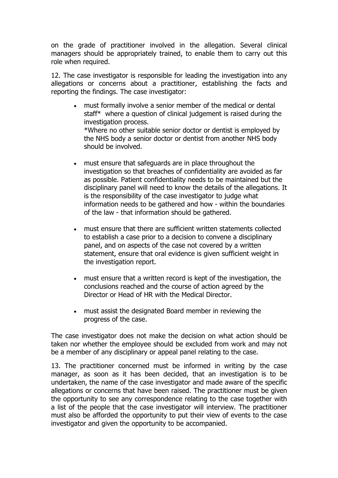on the grade of practitioner involved in the allegation. Several clinical managers should be appropriately trained, to enable them to carry out this role when required.

12. The case investigator is responsible for leading the investigation into any allegations or concerns about a practitioner, establishing the facts and reporting the findings. The case investigator:

- must formally involve a senior member of the medical or dental staff\* where a question of clinical judgement is raised during the investigation process. \*Where no other suitable senior doctor or dentist is employed by the NHS body a senior doctor or dentist from another NHS body should be involved.
- must ensure that safeguards are in place throughout the investigation so that breaches of confidentiality are avoided as far as possible. Patient confidentiality needs to be maintained but the disciplinary panel will need to know the details of the allegations. It is the responsibility of the case investigator to judge what information needs to be gathered and how - within the boundaries of the law - that information should be gathered.
- must ensure that there are sufficient written statements collected to establish a case prior to a decision to convene a disciplinary panel, and on aspects of the case not covered by a written statement, ensure that oral evidence is given sufficient weight in the investigation report.
- must ensure that a written record is kept of the investigation, the conclusions reached and the course of action agreed by the Director or Head of HR with the Medical Director.
- must assist the designated Board member in reviewing the progress of the case.

The case investigator does not make the decision on what action should be taken nor whether the employee should be excluded from work and may not be a member of any disciplinary or appeal panel relating to the case.

13. The practitioner concerned must be informed in writing by the case manager, as soon as it has been decided, that an investigation is to be undertaken, the name of the case investigator and made aware of the specific allegations or concerns that have been raised. The practitioner must be given the opportunity to see any correspondence relating to the case together with a list of the people that the case investigator will interview. The practitioner must also be afforded the opportunity to put their view of events to the case investigator and given the opportunity to be accompanied.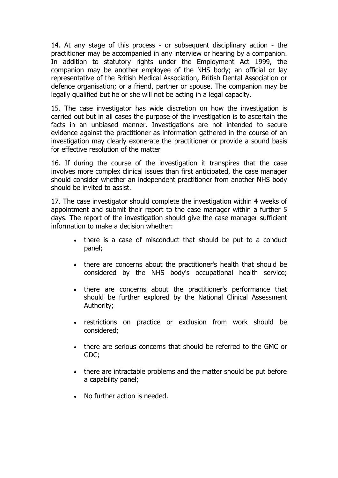14. At any stage of this process - or subsequent disciplinary action - the practitioner may be accompanied in any interview or hearing by a companion. In addition to statutory rights under the Employment Act 1999, the companion may be another employee of the NHS body; an official or lay representative of the British Medical Association, British Dental Association or defence organisation; or a friend, partner or spouse. The companion may be legally qualified but he or she will not be acting in a legal capacity.

15. The case investigator has wide discretion on how the investigation is carried out but in all cases the purpose of the investigation is to ascertain the facts in an unbiased manner. Investigations are not intended to secure evidence against the practitioner as information gathered in the course of an investigation may clearly exonerate the practitioner or provide a sound basis for effective resolution of the matter

16. If during the course of the investigation it transpires that the case involves more complex clinical issues than first anticipated, the case manager should consider whether an independent practitioner from another NHS body should be invited to assist.

17. The case investigator should complete the investigation within 4 weeks of appointment and submit their report to the case manager within a further 5 days. The report of the investigation should give the case manager sufficient information to make a decision whether:

- there is a case of misconduct that should be put to a conduct panel;
- there are concerns about the practitioner's health that should be considered by the NHS body's occupational health service;
- there are concerns about the practitioner's performance that should be further explored by the National Clinical Assessment Authority;
- restrictions on practice or exclusion from work should be considered;
- there are serious concerns that should be referred to the GMC or GDC;
- there are intractable problems and the matter should be put before a capability panel;
- No further action is needed.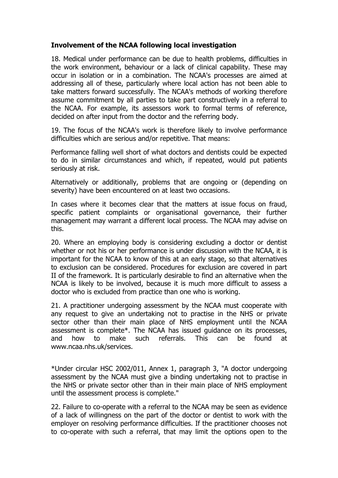### **Involvement of the NCAA following local investigation**

18. Medical under performance can be due to health problems, difficulties in the work environment, behaviour or a lack of clinical capability. These may occur in isolation or in a combination. The NCAA's processes are aimed at addressing all of these, particularly where local action has not been able to take matters forward successfully. The NCAA's methods of working therefore assume commitment by all parties to take part constructively in a referral to the NCAA. For example, its assessors work to formal terms of reference, decided on after input from the doctor and the referring body.

19. The focus of the NCAA's work is therefore likely to involve performance difficulties which are serious and/or repetitive. That means:

Performance falling well short of what doctors and dentists could be expected to do in similar circumstances and which, if repeated, would put patients seriously at risk.

Alternatively or additionally, problems that are ongoing or (depending on severity) have been encountered on at least two occasions.

In cases where it becomes clear that the matters at issue focus on fraud, specific patient complaints or organisational governance, their further management may warrant a different local process. The NCAA may advise on this.

20. Where an employing body is considering excluding a doctor or dentist whether or not his or her performance is under discussion with the NCAA, it is important for the NCAA to know of this at an early stage, so that alternatives to exclusion can be considered. Procedures for exclusion are covered in part II of the framework. It is particularly desirable to find an alternative when the NCAA is likely to be involved, because it is much more difficult to assess a doctor who is excluded from practice than one who is working.

21. A practitioner undergoing assessment by the NCAA must cooperate with any request to give an undertaking not to practise in the NHS or private sector other than their main place of NHS employment until the NCAA assessment is complete\*. The NCAA has issued guidance on its processes, and how to make such referrals. This can be found at www.ncaa.nhs.uk/services.

\*Under circular HSC 2002/011, Annex 1, paragraph 3, "A doctor undergoing assessment by the NCAA must give a binding undertaking not to practise in the NHS or private sector other than in their main place of NHS employment until the assessment process is complete."

22. Failure to co-operate with a referral to the NCAA may be seen as evidence of a lack of willingness on the part of the doctor or dentist to work with the employer on resolving performance difficulties. If the practitioner chooses not to co-operate with such a referral, that may limit the options open to the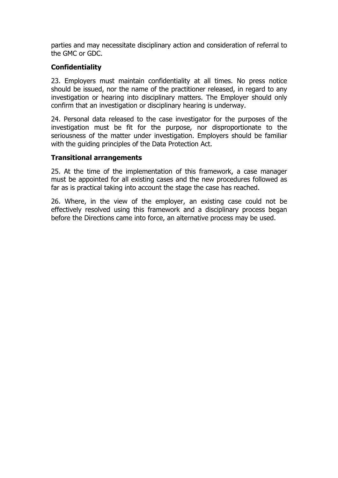parties and may necessitate disciplinary action and consideration of referral to the GMC or GDC.

#### **Confidentiality**

23. Employers must maintain confidentiality at all times. No press notice should be issued, nor the name of the practitioner released, in regard to any investigation or hearing into disciplinary matters. The Employer should only confirm that an investigation or disciplinary hearing is underway.

24. Personal data released to the case investigator for the purposes of the investigation must be fit for the purpose, nor disproportionate to the seriousness of the matter under investigation. Employers should be familiar with the guiding principles of the Data Protection Act.

#### **Transitional arrangements**

25. At the time of the implementation of this framework, a case manager must be appointed for all existing cases and the new procedures followed as far as is practical taking into account the stage the case has reached.

26. Where, in the view of the employer, an existing case could not be effectively resolved using this framework and a disciplinary process began before the Directions came into force, an alternative process may be used.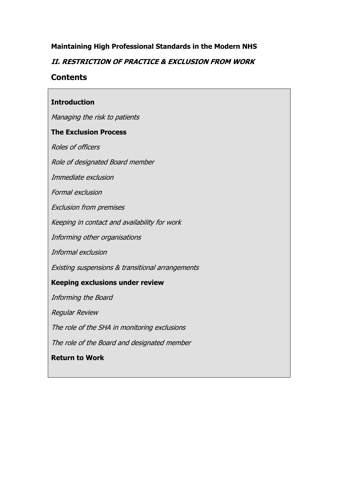### **II. RESTRICTION OF PRACTICE & EXCLUSION FROM WORK**

## **Contents**

### **Introduction**

Managing the risk to patients

#### **The Exclusion Process**

Roles of officers

Role of designated Board member

Immediate exclusion

Formal exclusion

Exclusion from premises

Keeping in contact and availability for work

Informing other organisations

Informal exclusion

Existing suspensions & transitional arrangements

#### **Keeping exclusions under review**

Informing the Board

Regular Review

The role of the SHA in monitoring exclusions

The role of the Board and designated member

**Return to Work**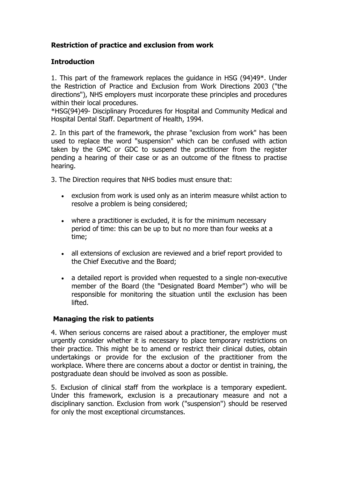# **Restriction of practice and exclusion from work**

#### **Introduction**

1. This part of the framework replaces the guidance in HSG (94)49\*. Under the Restriction of Practice and Exclusion from Work Directions 2003 ("the directions"), NHS employers must incorporate these principles and procedures within their local procedures.

\*HSG(94)49- Disciplinary Procedures for Hospital and Community Medical and Hospital Dental Staff. Department of Health, 1994.

2. In this part of the framework, the phrase "exclusion from work" has been used to replace the word "suspension" which can be confused with action taken by the GMC or GDC to suspend the practitioner from the register pending a hearing of their case or as an outcome of the fitness to practise hearing.

3. The Direction requires that NHS bodies must ensure that:

- exclusion from work is used only as an interim measure whilst action to resolve a problem is being considered;
- where a practitioner is excluded, it is for the minimum necessary period of time: this can be up to but no more than four weeks at a time;
- all extensions of exclusion are reviewed and a brief report provided to the Chief Executive and the Board;
- a detailed report is provided when requested to a single non-executive member of the Board (the "Designated Board Member") who will be responsible for monitoring the situation until the exclusion has been lifted.

#### **Managing the risk to patients**

4. When serious concerns are raised about a practitioner, the employer must urgently consider whether it is necessary to place temporary restrictions on their practice. This might be to amend or restrict their clinical duties, obtain undertakings or provide for the exclusion of the practitioner from the workplace. Where there are concerns about a doctor or dentist in training, the postgraduate dean should be involved as soon as possible.

5. Exclusion of clinical staff from the workplace is a temporary expedient. Under this framework, exclusion is a precautionary measure and not a disciplinary sanction. Exclusion from work ("suspension") should be reserved for only the most exceptional circumstances.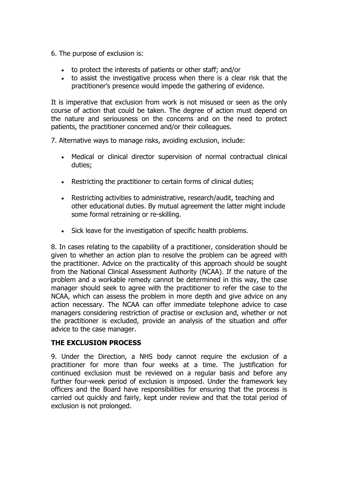- 6. The purpose of exclusion is:
	- to protect the interests of patients or other staff; and/or
	- to assist the investigative process when there is a clear risk that the practitioner's presence would impede the gathering of evidence.

It is imperative that exclusion from work is not misused or seen as the only course of action that could be taken. The degree of action must depend on the nature and seriousness on the concerns and on the need to protect patients, the practitioner concerned and/or their colleagues.

7. Alternative ways to manage risks, avoiding exclusion, include:

- Medical or clinical director supervision of normal contractual clinical duties;
- Restricting the practitioner to certain forms of clinical duties;
- Restricting activities to administrative, research/audit, teaching and other educational duties. By mutual agreement the latter might include some formal retraining or re-skilling.
- Sick leave for the investigation of specific health problems.

8. In cases relating to the capability of a practitioner, consideration should be given to whether an action plan to resolve the problem can be agreed with the practitioner. Advice on the practicality of this approach should be sought from the National Clinical Assessment Authority (NCAA). If the nature of the problem and a workable remedy cannot be determined in this way, the case manager should seek to agree with the practitioner to refer the case to the NCAA, which can assess the problem in more depth and give advice on any action necessary. The NCAA can offer immediate telephone advice to case managers considering restriction of practise or exclusion and, whether or not the practitioner is excluded, provide an analysis of the situation and offer advice to the case manager.

#### **THE EXCLUSION PROCESS**

9. Under the Direction, a NHS body cannot require the exclusion of a practitioner for more than four weeks at a time. The justification for continued exclusion must be reviewed on a regular basis and before any further four-week period of exclusion is imposed. Under the framework key officers and the Board have responsibilities for ensuring that the process is carried out quickly and fairly, kept under review and that the total period of exclusion is not prolonged.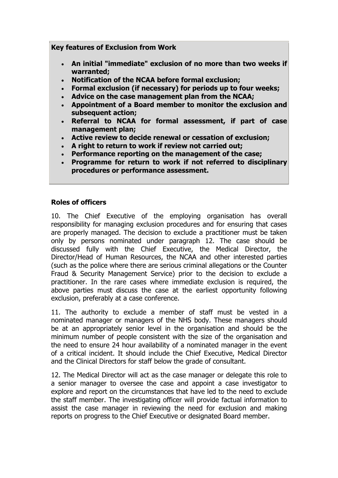**Key features of Exclusion from Work** 

- **An initial "immediate" exclusion of no more than two weeks if warranted;**
- **Notification of the NCAA before formal exclusion;**
- **Formal exclusion (if necessary) for periods up to four weeks;**
- **Advice on the case management plan from the NCAA;**
- **Appointment of a Board member to monitor the exclusion and subsequent action;**
- **Referral to NCAA for formal assessment, if part of case management plan;**
- **Active review to decide renewal or cessation of exclusion;**
- **A right to return to work if review not carried out;**
- **Performance reporting on the management of the case;**
- **Programme for return to work if not referred to disciplinary procedures or performance assessment.**

#### **Roles of officers**

10. The Chief Executive of the employing organisation has overall responsibility for managing exclusion procedures and for ensuring that cases are properly managed. The decision to exclude a practitioner must be taken only by persons nominated under paragraph 12. The case should be discussed fully with the Chief Executive, the Medical Director, the Director/Head of Human Resources, the NCAA and other interested parties (such as the police where there are serious criminal allegations or the Counter Fraud & Security Management Service) prior to the decision to exclude a practitioner. In the rare cases where immediate exclusion is required, the above parties must discuss the case at the earliest opportunity following exclusion, preferably at a case conference.

11. The authority to exclude a member of staff must be vested in a nominated manager or managers of the NHS body. These managers should be at an appropriately senior level in the organisation and should be the minimum number of people consistent with the size of the organisation and the need to ensure 24 hour availability of a nominated manager in the event of a critical incident. It should include the Chief Executive, Medical Director and the Clinical Directors for staff below the grade of consultant.

12. The Medical Director will act as the case manager or delegate this role to a senior manager to oversee the case and appoint a case investigator to explore and report on the circumstances that have led to the need to exclude the staff member. The investigating officer will provide factual information to assist the case manager in reviewing the need for exclusion and making reports on progress to the Chief Executive or designated Board member.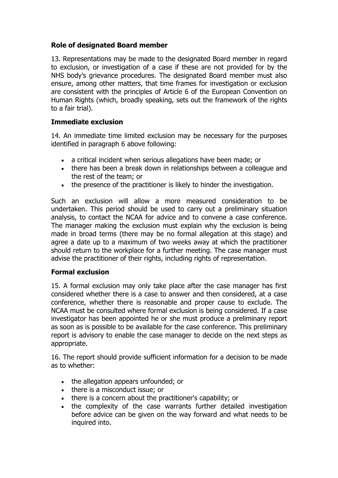## **Role of designated Board member**

13. Representations may be made to the designated Board member in regard to exclusion, or investigation of a case if these are not provided for by the NHS body's grievance procedures. The designated Board member must also ensure, among other matters, that time frames for investigation or exclusion are consistent with the principles of Article 6 of the European Convention on Human Rights (which, broadly speaking, sets out the framework of the rights to a fair trial).

#### **Immediate exclusion**

14. An immediate time limited exclusion may be necessary for the purposes identified in paragraph 6 above following:

- a critical incident when serious allegations have been made; or
- there has been a break down in relationships between a colleague and the rest of the team; or
- the presence of the practitioner is likely to hinder the investigation.

Such an exclusion will allow a more measured consideration to be undertaken. This period should be used to carry out a preliminary situation analysis, to contact the NCAA for advice and to convene a case conference. The manager making the exclusion must explain why the exclusion is being made in broad terms (there may be no formal allegation at this stage) and agree a date up to a maximum of two weeks away at which the practitioner should return to the workplace for a further meeting. The case manager must advise the practitioner of their rights, including rights of representation.

#### **Formal exclusion**

15. A formal exclusion may only take place after the case manager has first considered whether there is a case to answer and then considered, at a case conference, whether there is reasonable and proper cause to exclude. The NCAA must be consulted where formal exclusion is being considered. If a case investigator has been appointed he or she must produce a preliminary report as soon as is possible to be available for the case conference. This preliminary report is advisory to enable the case manager to decide on the next steps as appropriate.

16. The report should provide sufficient information for a decision to be made as to whether:

- the allegation appears unfounded; or
- there is a misconduct issue; or
- there is a concern about the practitioner's capability; or
- the complexity of the case warrants further detailed investigation before advice can be given on the way forward and what needs to be inquired into.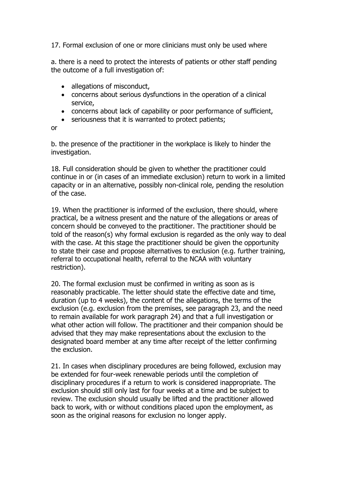17. Formal exclusion of one or more clinicians must only be used where

a. there is a need to protect the interests of patients or other staff pending the outcome of a full investigation of:

- allegations of misconduct,
- concerns about serious dysfunctions in the operation of a clinical service,
- concerns about lack of capability or poor performance of sufficient,
- seriousness that it is warranted to protect patients;

or

b. the presence of the practitioner in the workplace is likely to hinder the investigation.

18. Full consideration should be given to whether the practitioner could continue in or (in cases of an immediate exclusion) return to work in a limited capacity or in an alternative, possibly non-clinical role, pending the resolution of the case.

19. When the practitioner is informed of the exclusion, there should, where practical, be a witness present and the nature of the allegations or areas of concern should be conveyed to the practitioner. The practitioner should be told of the reason(s) why formal exclusion is regarded as the only way to deal with the case. At this stage the practitioner should be given the opportunity to state their case and propose alternatives to exclusion (e.g. further training, referral to occupational health, referral to the NCAA with voluntary restriction).

20. The formal exclusion must be confirmed in writing as soon as is reasonably practicable. The letter should state the effective date and time, duration (up to 4 weeks), the content of the allegations, the terms of the exclusion (e.g. exclusion from the premises, see paragraph 23, and the need to remain available for work paragraph 24) and that a full investigation or what other action will follow. The practitioner and their companion should be advised that they may make representations about the exclusion to the designated board member at any time after receipt of the letter confirming the exclusion.

21. In cases when disciplinary procedures are being followed, exclusion may be extended for four-week renewable periods until the completion of disciplinary procedures if a return to work is considered inappropriate. The exclusion should still only last for four weeks at a time and be subject to review. The exclusion should usually be lifted and the practitioner allowed back to work, with or without conditions placed upon the employment, as soon as the original reasons for exclusion no longer apply.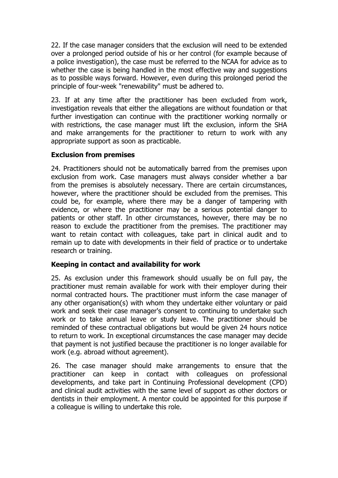22. If the case manager considers that the exclusion will need to be extended over a prolonged period outside of his or her control (for example because of a police investigation), the case must be referred to the NCAA for advice as to whether the case is being handled in the most effective way and suggestions as to possible ways forward. However, even during this prolonged period the principle of four-week "renewability" must be adhered to.

23. If at any time after the practitioner has been excluded from work, investigation reveals that either the allegations are without foundation or that further investigation can continue with the practitioner working normally or with restrictions, the case manager must lift the exclusion, inform the SHA and make arrangements for the practitioner to return to work with any appropriate support as soon as practicable.

#### **Exclusion from premises**

24. Practitioners should not be automatically barred from the premises upon exclusion from work. Case managers must always consider whether a bar from the premises is absolutely necessary. There are certain circumstances, however, where the practitioner should be excluded from the premises. This could be, for example, where there may be a danger of tampering with evidence, or where the practitioner may be a serious potential danger to patients or other staff. In other circumstances, however, there may be no reason to exclude the practitioner from the premises. The practitioner may want to retain contact with colleagues, take part in clinical audit and to remain up to date with developments in their field of practice or to undertake research or training.

#### **Keeping in contact and availability for work**

25. As exclusion under this framework should usually be on full pay, the practitioner must remain available for work with their employer during their normal contracted hours. The practitioner must inform the case manager of any other organisation(s) with whom they undertake either voluntary or paid work and seek their case manager's consent to continuing to undertake such work or to take annual leave or study leave. The practitioner should be reminded of these contractual obligations but would be given 24 hours notice to return to work. In exceptional circumstances the case manager may decide that payment is not justified because the practitioner is no longer available for work (e.g. abroad without agreement).

26. The case manager should make arrangements to ensure that the practitioner can keep in contact with colleagues on professional developments, and take part in Continuing Professional development (CPD) and clinical audit activities with the same level of support as other doctors or dentists in their employment. A mentor could be appointed for this purpose if a colleague is willing to undertake this role.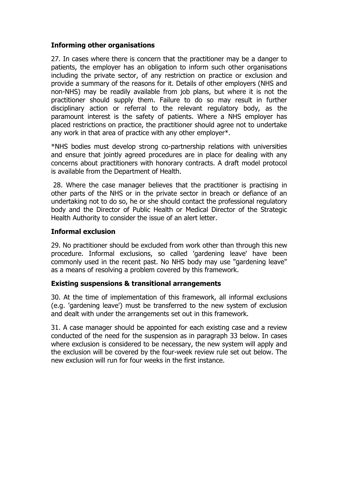#### **Informing other organisations**

27. In cases where there is concern that the practitioner may be a danger to patients, the employer has an obligation to inform such other organisations including the private sector, of any restriction on practice or exclusion and provide a summary of the reasons for it. Details of other employers (NHS and non-NHS) may be readily available from job plans, but where it is not the practitioner should supply them. Failure to do so may result in further disciplinary action or referral to the relevant regulatory body, as the paramount interest is the safety of patients. Where a NHS employer has placed restrictions on practice, the practitioner should agree not to undertake any work in that area of practice with any other employer\*.

\*NHS bodies must develop strong co-partnership relations with universities and ensure that jointly agreed procedures are in place for dealing with any concerns about practitioners with honorary contracts. A draft model protocol is available from the Department of Health.

 28. Where the case manager believes that the practitioner is practising in other parts of the NHS or in the private sector in breach or defiance of an undertaking not to do so, he or she should contact the professional regulatory body and the Director of Public Health or Medical Director of the Strategic Health Authority to consider the issue of an alert letter.

#### **Informal exclusion**

29. No practitioner should be excluded from work other than through this new procedure. Informal exclusions, so called 'gardening leave' have been commonly used in the recent past. No NHS body may use "gardening leave" as a means of resolving a problem covered by this framework.

#### **Existing suspensions & transitional arrangements**

30. At the time of implementation of this framework, all informal exclusions (e.g. 'gardening leave') must be transferred to the new system of exclusion and dealt with under the arrangements set out in this framework.

31. A case manager should be appointed for each existing case and a review conducted of the need for the suspension as in paragraph 33 below. In cases where exclusion is considered to be necessary, the new system will apply and the exclusion will be covered by the four-week review rule set out below. The new exclusion will run for four weeks in the first instance.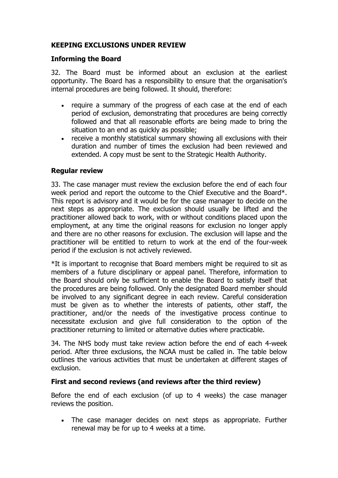## **KEEPING EXCLUSIONS UNDER REVIEW**

#### **Informing the Board**

32. The Board must be informed about an exclusion at the earliest opportunity. The Board has a responsibility to ensure that the organisation's internal procedures are being followed. It should, therefore:

- require a summary of the progress of each case at the end of each period of exclusion, demonstrating that procedures are being correctly followed and that all reasonable efforts are being made to bring the situation to an end as quickly as possible;
- receive a monthly statistical summary showing all exclusions with their duration and number of times the exclusion had been reviewed and extended. A copy must be sent to the Strategic Health Authority.

#### **Regular review**

33. The case manager must review the exclusion before the end of each four week period and report the outcome to the Chief Executive and the Board\*. This report is advisory and it would be for the case manager to decide on the next steps as appropriate. The exclusion should usually be lifted and the practitioner allowed back to work, with or without conditions placed upon the employment, at any time the original reasons for exclusion no longer apply and there are no other reasons for exclusion. The exclusion will lapse and the practitioner will be entitled to return to work at the end of the four-week period if the exclusion is not actively reviewed.

\*It is important to recognise that Board members might be required to sit as members of a future disciplinary or appeal panel. Therefore, information to the Board should only be sufficient to enable the Board to satisfy itself that the procedures are being followed. Only the designated Board member should be involved to any significant degree in each review. Careful consideration must be given as to whether the interests of patients, other staff, the practitioner, and/or the needs of the investigative process continue to necessitate exclusion and give full consideration to the option of the practitioner returning to limited or alternative duties where practicable.

34. The NHS body must take review action before the end of each 4-week period. After three exclusions, the NCAA must be called in. The table below outlines the various activities that must be undertaken at different stages of exclusion.

#### **First and second reviews (and reviews after the third review)**

Before the end of each exclusion (of up to 4 weeks) the case manager reviews the position.

• The case manager decides on next steps as appropriate. Further renewal may be for up to 4 weeks at a time.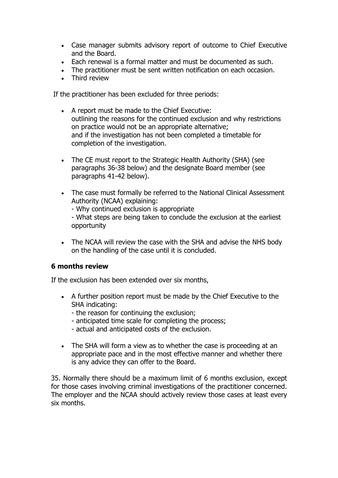- Case manager submits advisory report of outcome to Chief Executive and the Board.
- Each renewal is a formal matter and must be documented as such.
- The practitioner must be sent written notification on each occasion.
- Third review

If the practitioner has been excluded for three periods:

- A report must be made to the Chief Executive: outlining the reasons for the continued exclusion and why restrictions on practice would not be an appropriate alternative; and if the investigation has not been completed a timetable for completion of the investigation.
- The CE must report to the Strategic Health Authority (SHA) (see paragraphs 36-38 below) and the designate Board member (see paragraphs 41-42 below).
- The case must formally be referred to the National Clinical Assessment Authority (NCAA) explaining:
	- Why continued exclusion is appropriate

- What steps are being taken to conclude the exclusion at the earliest opportunity

• The NCAA will review the case with the SHA and advise the NHS body on the handling of the case until it is concluded.

#### **6 months review**

If the exclusion has been extended over six months,

- A further position report must be made by the Chief Executive to the SHA indicating:
	- the reason for continuing the exclusion;
	- anticipated time scale for completing the process;
	- actual and anticipated costs of the exclusion.
- The SHA will form a view as to whether the case is proceeding at an appropriate pace and in the most effective manner and whether there is any advice they can offer to the Board.

35. Normally there should be a maximum limit of 6 months exclusion, except for those cases involving criminal investigations of the practitioner concerned. The employer and the NCAA should actively review those cases at least every six months.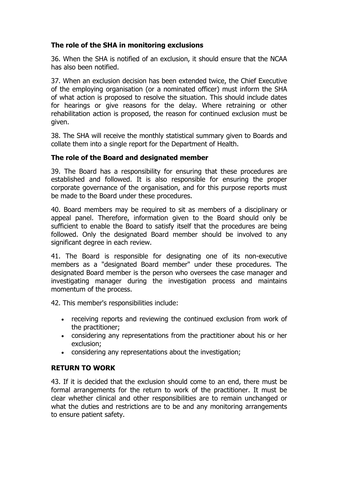### **The role of the SHA in monitoring exclusions**

36. When the SHA is notified of an exclusion, it should ensure that the NCAA has also been notified.

37. When an exclusion decision has been extended twice, the Chief Executive of the employing organisation (or a nominated officer) must inform the SHA of what action is proposed to resolve the situation. This should include dates for hearings or give reasons for the delay. Where retraining or other rehabilitation action is proposed, the reason for continued exclusion must be given.

38. The SHA will receive the monthly statistical summary given to Boards and collate them into a single report for the Department of Health.

#### **The role of the Board and designated member**

39. The Board has a responsibility for ensuring that these procedures are established and followed. It is also responsible for ensuring the proper corporate governance of the organisation, and for this purpose reports must be made to the Board under these procedures.

40. Board members may be required to sit as members of a disciplinary or appeal panel. Therefore, information given to the Board should only be sufficient to enable the Board to satisfy itself that the procedures are being followed. Only the designated Board member should be involved to any significant degree in each review.

41. The Board is responsible for designating one of its non-executive members as a "designated Board member" under these procedures. The designated Board member is the person who oversees the case manager and investigating manager during the investigation process and maintains momentum of the process.

42. This member's responsibilities include:

- receiving reports and reviewing the continued exclusion from work of the practitioner;
- considering any representations from the practitioner about his or her exclusion;
- considering any representations about the investigation;

#### **RETURN TO WORK**

43. If it is decided that the exclusion should come to an end, there must be formal arrangements for the return to work of the practitioner. It must be clear whether clinical and other responsibilities are to remain unchanged or what the duties and restrictions are to be and any monitoring arrangements to ensure patient safety.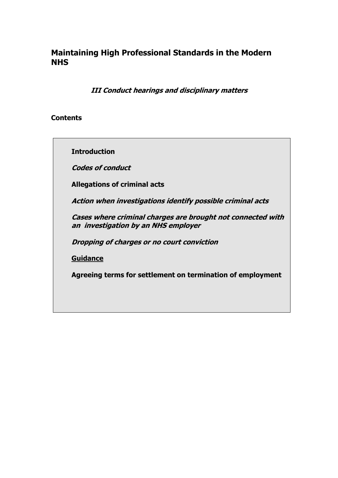**III Conduct hearings and disciplinary matters** 

#### **Contents**

**Introduction** 

**Codes of conduct**

**Allegations of criminal acts** 

**Action when investigations identify possible criminal acts**

**Cases where criminal charges are brought not connected with an investigation by an NHS employer** 

**Dropping of charges or no court conviction** 

**Guidance**

**Agreeing terms for settlement on termination of employment**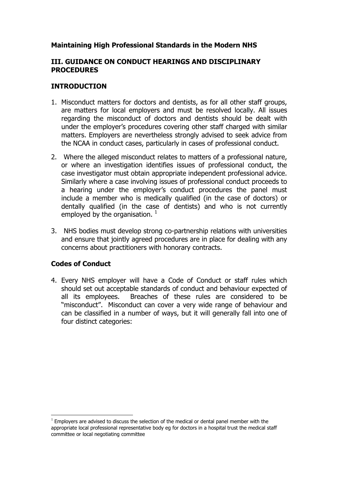#### **III. GUIDANCE ON CONDUCT HEARINGS AND DISCIPLINARY PROCEDURES**

#### **INTRODUCTION**

- 1. Misconduct matters for doctors and dentists, as for all other staff groups, are matters for local employers and must be resolved locally. All issues regarding the misconduct of doctors and dentists should be dealt with under the employer's procedures covering other staff charged with similar matters. Employers are nevertheless strongly advised to seek advice from the NCAA in conduct cases, particularly in cases of professional conduct.
- 2. Where the alleged misconduct relates to matters of a professional nature, or where an investigation identifies issues of professional conduct, the case investigator must obtain appropriate independent professional advice. Similarly where a case involving issues of professional conduct proceeds to a hearing under the employer's conduct procedures the panel must include a member who is medically qualified (in the case of doctors) or dentally qualified (in the case of dentists) and who is not currently employed by the organisation.  $1$
- 3. NHS bodies must develop strong co-partnership relations with universities and ensure that jointly agreed procedures are in place for dealing with any concerns about practitioners with honorary contracts.

## **Codes of Conduct**

 $\overline{a}$ 

4. Every NHS employer will have a Code of Conduct or staff rules which should set out acceptable standards of conduct and behaviour expected of all its employees. Breaches of these rules are considered to be "misconduct". Misconduct can cover a very wide range of behaviour and can be classified in a number of ways, but it will generally fall into one of four distinct categories:

 $<sup>1</sup>$  Employers are advised to discuss the selection of the medical or dental panel member with the</sup> appropriate local professional representative body eg for doctors in a hospital trust the medical staff committee or local negotiating committee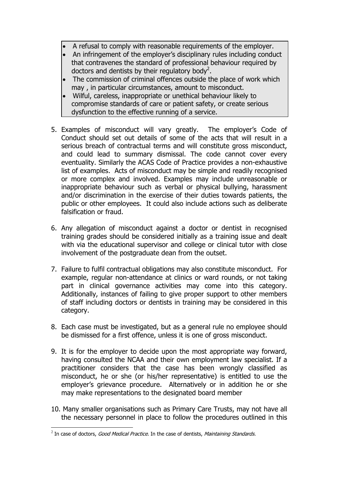- A refusal to comply with reasonable requirements of the employer.
- An infringement of the employer's disciplinary rules including conduct that contravenes the standard of professional behaviour required by doctors and dentists by their regulatory body<sup>2</sup>.
- The commission of criminal offences outside the place of work which may , in particular circumstances, amount to misconduct.
- Wilful, careless, inappropriate or unethical behaviour likely to compromise standards of care or patient safety, or create serious dysfunction to the effective running of a service.
- 5. Examples of misconduct will vary greatly. The employer's Code of Conduct should set out details of some of the acts that will result in a serious breach of contractual terms and will constitute gross misconduct, and could lead to summary dismissal. The code cannot cover every eventuality. Similarly the ACAS Code of Practice provides a non-exhaustive list of examples. Acts of misconduct may be simple and readily recognised or more complex and involved. Examples may include unreasonable or inappropriate behaviour such as verbal or physical bullying, harassment and/or discrimination in the exercise of their duties towards patients, the public or other employees. It could also include actions such as deliberate falsification or fraud.
- 6. Any allegation of misconduct against a doctor or dentist in recognised training grades should be considered initially as a training issue and dealt with via the educational supervisor and college or clinical tutor with close involvement of the postgraduate dean from the outset.
- 7. Failure to fulfil contractual obligations may also constitute misconduct. For example, regular non-attendance at clinics or ward rounds, or not taking part in clinical governance activities may come into this category. Additionally, instances of failing to give proper support to other members of staff including doctors or dentists in training may be considered in this category.
- 8. Each case must be investigated, but as a general rule no employee should be dismissed for a first offence, unless it is one of gross misconduct.
- 9. It is for the employer to decide upon the most appropriate way forward, having consulted the NCAA and their own employment law specialist. If a practitioner considers that the case has been wrongly classified as misconduct, he or she (or his/her representative) is entitled to use the employer's grievance procedure. Alternatively or in addition he or she may make representations to the designated board member
- 10. Many smaller organisations such as Primary Care Trusts, may not have all the necessary personnel in place to follow the procedures outlined in this

 $\overline{a}$ 

 $^2$  In case of doctors, *Good Medical Practice.* In the case of dentists, *Maintaining Standards.*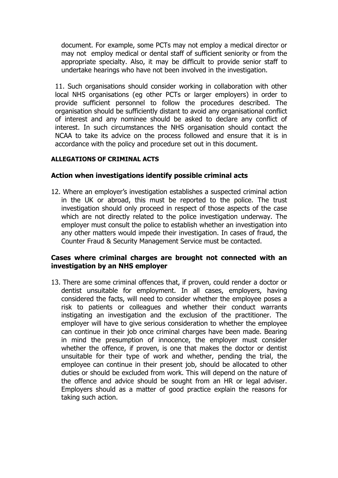document. For example, some PCTs may not employ a medical director or may not employ medical or dental staff of sufficient seniority or from the appropriate specialty. Also, it may be difficult to provide senior staff to undertake hearings who have not been involved in the investigation.

11. Such organisations should consider working in collaboration with other local NHS organisations (eg other PCTs or larger employers) in order to provide sufficient personnel to follow the procedures described. The organisation should be sufficiently distant to avoid any organisational conflict of interest and any nominee should be asked to declare any conflict of interest. In such circumstances the NHS organisation should contact the NCAA to take its advice on the process followed and ensure that it is in accordance with the policy and procedure set out in this document.

#### **ALLEGATIONS OF CRIMINAL ACTS**

#### **Action when investigations identify possible criminal acts**

12. Where an employer's investigation establishes a suspected criminal action in the UK or abroad, this must be reported to the police. The trust investigation should only proceed in respect of those aspects of the case which are not directly related to the police investigation underway. The employer must consult the police to establish whether an investigation into any other matters would impede their investigation. In cases of fraud, the Counter Fraud & Security Management Service must be contacted.

#### **Cases where criminal charges are brought not connected with an investigation by an NHS employer**

13. There are some criminal offences that, if proven, could render a doctor or dentist unsuitable for employment. In all cases, employers, having considered the facts, will need to consider whether the employee poses a risk to patients or colleagues and whether their conduct warrants instigating an investigation and the exclusion of the practitioner. The employer will have to give serious consideration to whether the employee can continue in their job once criminal charges have been made. Bearing in mind the presumption of innocence, the employer must consider whether the offence, if proven, is one that makes the doctor or dentist unsuitable for their type of work and whether, pending the trial, the employee can continue in their present job, should be allocated to other duties or should be excluded from work. This will depend on the nature of the offence and advice should be sought from an HR or legal adviser. Employers should as a matter of good practice explain the reasons for taking such action.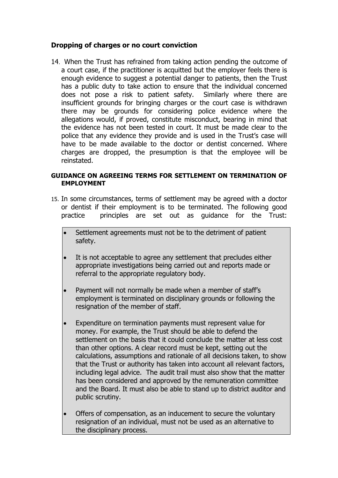#### **Dropping of charges or no court conviction**

14. When the Trust has refrained from taking action pending the outcome of a court case, if the practitioner is acquitted but the employer feels there is enough evidence to suggest a potential danger to patients, then the Trust has a public duty to take action to ensure that the individual concerned does not pose a risk to patient safety. Similarly where there are insufficient grounds for bringing charges or the court case is withdrawn there may be grounds for considering police evidence where the allegations would, if proved, constitute misconduct, bearing in mind that the evidence has not been tested in court. It must be made clear to the police that any evidence they provide and is used in the Trust's case will have to be made available to the doctor or dentist concerned. Where charges are dropped, the presumption is that the employee will be reinstated.

#### **GUIDANCE ON AGREEING TERMS FOR SETTLEMENT ON TERMINATION OF EMPLOYMENT**

- 15. In some circumstances, terms of settlement may be agreed with a doctor or dentist if their employment is to be terminated. The following good practice principles are set out as guidance for the Trust:
	- Settlement agreements must not be to the detriment of patient safety.
	- It is not acceptable to agree any settlement that precludes either appropriate investigations being carried out and reports made or referral to the appropriate regulatory body.
	- Payment will not normally be made when a member of staff's employment is terminated on disciplinary grounds or following the resignation of the member of staff.
	- Expenditure on termination payments must represent value for money. For example, the Trust should be able to defend the settlement on the basis that it could conclude the matter at less cost than other options. A clear record must be kept, setting out the calculations, assumptions and rationale of all decisions taken, to show that the Trust or authority has taken into account all relevant factors, including legal advice. The audit trail must also show that the matter has been considered and approved by the remuneration committee and the Board. It must also be able to stand up to district auditor and public scrutiny.
	- Offers of compensation, as an inducement to secure the voluntary resignation of an individual, must not be used as an alternative to the disciplinary process.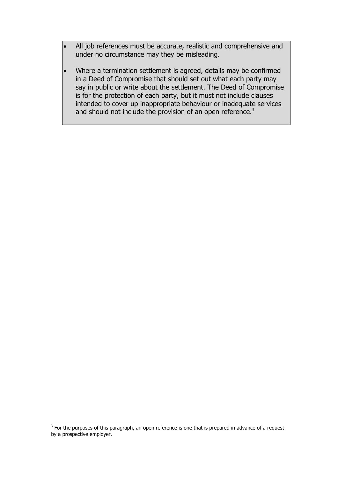- All job references must be accurate, realistic and comprehensive and under no circumstance may they be misleading.
- Where a termination settlement is agreed, details may be confirmed in a Deed of Compromise that should set out what each party may say in public or write about the settlement. The Deed of Compromise is for the protection of each party, but it must not include clauses intended to cover up inappropriate behaviour or inadequate services and should not include the provision of an open reference.<sup>3</sup>

 $\overline{a}$ 

 $3$  For the purposes of this paragraph, an open reference is one that is prepared in advance of a request by a prospective employer.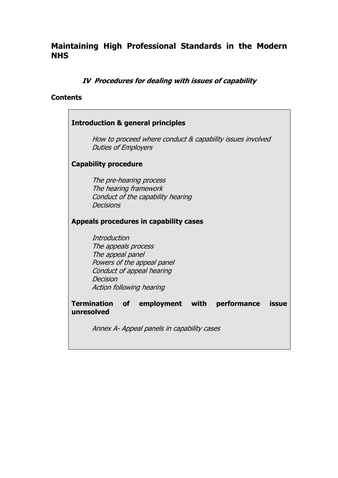### **IV Procedures for dealing with issues of capability**

#### **Contents**

#### **Introduction & general principles**

How to proceed where conduct & capability issues involved Duties of Employers

#### **Capability procedure**

The pre-hearing process The hearing framework Conduct of the capability hearing **Decisions** 

#### **Appeals procedures in capability cases**

**Introduction** The appeals process The appeal panel Powers of the appeal panel Conduct of appeal hearing Decision Action following hearing

**Termination of employment with performance issue unresolved** 

Annex A- Appeal panels in capability cases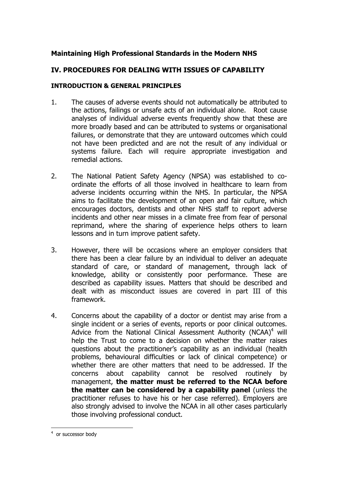#### **IV. PROCEDURES FOR DEALING WITH ISSUES OF CAPABILITY**

#### **INTRODUCTION & GENERAL PRINCIPLES**

- 1. The causes of adverse events should not automatically be attributed to the actions, failings or unsafe acts of an individual alone. Root cause analyses of individual adverse events frequently show that these are more broadly based and can be attributed to systems or organisational failures, or demonstrate that they are untoward outcomes which could not have been predicted and are not the result of any individual or systems failure. Each will require appropriate investigation and remedial actions.
- 2. The National Patient Safety Agency (NPSA) was established to coordinate the efforts of all those involved in healthcare to learn from adverse incidents occurring within the NHS. In particular, the NPSA aims to facilitate the development of an open and fair culture, which encourages doctors, dentists and other NHS staff to report adverse incidents and other near misses in a climate free from fear of personal reprimand, where the sharing of experience helps others to learn lessons and in turn improve patient safety.
- 3. However, there will be occasions where an employer considers that there has been a clear failure by an individual to deliver an adequate standard of care, or standard of management, through lack of knowledge, ability or consistently poor performance. These are described as capability issues. Matters that should be described and dealt with as misconduct issues are covered in part III of this framework.
- 4. Concerns about the capability of a doctor or dentist may arise from a single incident or a series of events, reports or poor clinical outcomes. Advice from the National Clinical Assessment Authority (NCAA)<sup>4</sup> will help the Trust to come to a decision on whether the matter raises questions about the practitioner's capability as an individual (health problems, behavioural difficulties or lack of clinical competence) or whether there are other matters that need to be addressed. If the concerns about capability cannot be resolved routinely by management, **the matter must be referred to the NCAA before the matter can be considered by a capability panel** (unless the practitioner refuses to have his or her case referred). Employers are also strongly advised to involve the NCAA in all other cases particularly those involving professional conduct.

 $\overline{a}$ 

<sup>&</sup>lt;sup>4</sup> or successor body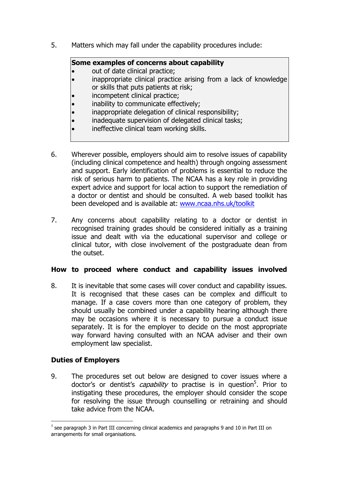5. Matters which may fall under the capability procedures include:

#### **Some examples of concerns about capability**

- out of date clinical practice;
- inappropriate clinical practice arising from a lack of knowledge or skills that puts patients at risk;
- incompetent clinical practice;
- inability to communicate effectively;
- inappropriate delegation of clinical responsibility;
- inadequate supervision of delegated clinical tasks;
- ineffective clinical team working skills.
- 6. Wherever possible, employers should aim to resolve issues of capability (including clinical competence and health) through ongoing assessment and support. Early identification of problems is essential to reduce the risk of serious harm to patients. The NCAA has a key role in providing expert advice and support for local action to support the remediation of a doctor or dentist and should be consulted. A web based toolkit has been developed and is available at: www.ncaa.nhs.uk/toolkit
- 7. Any concerns about capability relating to a doctor or dentist in recognised training grades should be considered initially as a training issue and dealt with via the educational supervisor and college or clinical tutor, with close involvement of the postgraduate dean from the outset.

#### **How to proceed where conduct and capability issues involved**

8. It is inevitable that some cases will cover conduct and capability issues. It is recognised that these cases can be complex and difficult to manage. If a case covers more than one category of problem, they should usually be combined under a capability hearing although there may be occasions where it is necessary to pursue a conduct issue separately. It is for the employer to decide on the most appropriate way forward having consulted with an NCAA adviser and their own employment law specialist.

## **Duties of Employers**

9. The procedures set out below are designed to cover issues where a doctor's or dentist's *capability* to practise is in question<sup>5</sup>. Prior to instigating these procedures, the employer should consider the scope for resolving the issue through counselling or retraining and should take advice from the NCAA.

 $\overline{a}$  $<sup>5</sup>$  see paragraph 3 in Part III concerning clinical academics and paragraphs 9 and 10 in Part III on</sup> arrangements for small organisations.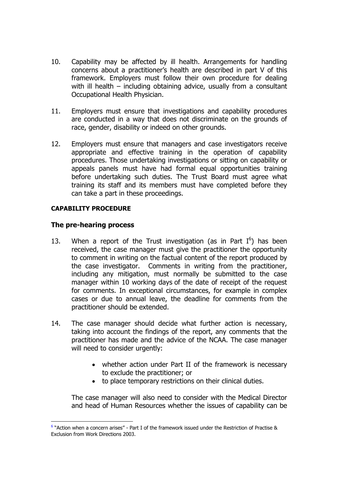- 10. Capability may be affected by ill health. Arrangements for handling concerns about a practitioner's health are described in part V of this framework. Employers must follow their own procedure for dealing with ill health – including obtaining advice, usually from a consultant Occupational Health Physician.
- 11. Employers must ensure that investigations and capability procedures are conducted in a way that does not discriminate on the grounds of race, gender, disability or indeed on other grounds.
- 12. Employers must ensure that managers and case investigators receive appropriate and effective training in the operation of capability procedures. Those undertaking investigations or sitting on capability or appeals panels must have had formal equal opportunities training before undertaking such duties. The Trust Board must agree what training its staff and its members must have completed before they can take a part in these proceedings.

#### **CAPABILITY PROCEDURE**

#### **The pre-hearing process**

- 13. When a report of the Trust investigation (as in Part  $I^6$ ) has been received, the case manager must give the practitioner the opportunity to comment in writing on the factual content of the report produced by the case investigator. Comments in writing from the practitioner, including any mitigation, must normally be submitted to the case manager within 10 working days of the date of receipt of the request for comments. In exceptional circumstances, for example in complex cases or due to annual leave, the deadline for comments from the practitioner should be extended.
- 14. The case manager should decide what further action is necessary, taking into account the findings of the report, any comments that the practitioner has made and the advice of the NCAA. The case manager will need to consider urgently:
	- whether action under Part II of the framework is necessary to exclude the practitioner; or
	- to place temporary restrictions on their clinical duties.

 The case manager will also need to consider with the Medical Director and head of Human Resources whether the issues of capability can be

 $\overline{a}$  $6$  "Action when a concern arises" - Part I of the framework issued under the Restriction of Practise & Exclusion from Work Directions 2003.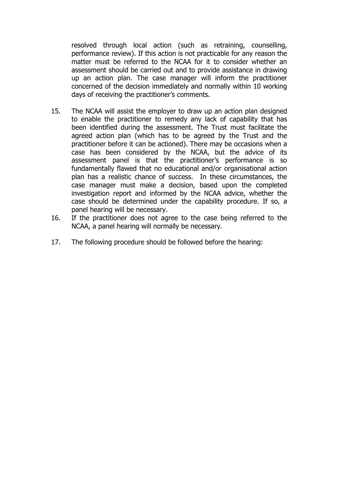resolved through local action (such as retraining, counselling, performance review). If this action is not practicable for any reason the matter must be referred to the NCAA for it to consider whether an assessment should be carried out and to provide assistance in drawing up an action plan. The case manager will inform the practitioner concerned of the decision immediately and normally within 10 working days of receiving the practitioner's comments.

- 15. The NCAA will assist the employer to draw up an action plan designed to enable the practitioner to remedy any lack of capability that has been identified during the assessment. The Trust must facilitate the agreed action plan (which has to be agreed by the Trust and the practitioner before it can be actioned). There may be occasions when a case has been considered by the NCAA, but the advice of its assessment panel is that the practitioner's performance is so fundamentally flawed that no educational and/or organisational action plan has a realistic chance of success. In these circumstances, the case manager must make a decision, based upon the completed investigation report and informed by the NCAA advice, whether the case should be determined under the capability procedure. If so, a panel hearing will be necessary.
- 16. If the practitioner does not agree to the case being referred to the NCAA, a panel hearing will normally be necessary.
- 17. The following procedure should be followed before the hearing: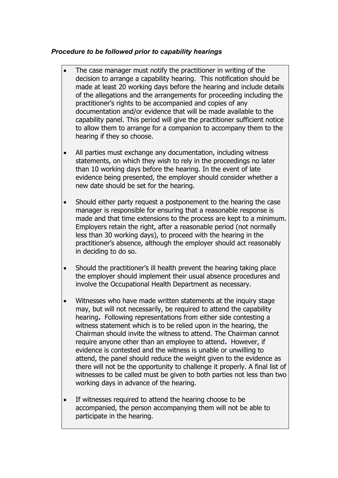#### *Procedure to be followed prior to capability hearings*

- The case manager must notify the practitioner in writing of the decision to arrange a capability hearing. This notification should be made at least 20 working days before the hearing and include details of the allegations and the arrangements for proceeding including the practitioner's rights to be accompanied and copies of any documentation and/or evidence that will be made available to the capability panel. This period will give the practitioner sufficient notice to allow them to arrange for a companion to accompany them to the hearing if they so choose.
- All parties must exchange any documentation, including witness statements, on which they wish to rely in the proceedings no later than 10 working days before the hearing. In the event of late evidence being presented, the employer should consider whether a new date should be set for the hearing.
- Should either party request a postponement to the hearing the case manager is responsible for ensuring that a reasonable response is made and that time extensions to the process are kept to a minimum. Employers retain the right, after a reasonable period (not normally less than 30 working days), to proceed with the hearing in the practitioner's absence, although the employer should act reasonably in deciding to do so.
- Should the practitioner's ill health prevent the hearing taking place the employer should implement their usual absence procedures and involve the Occupational Health Department as necessary.
- Witnesses who have made written statements at the inquiry stage may, but will not necessarily, be required to attend the capability hearing**.** Following representations from either side contesting a witness statement which is to be relied upon in the hearing, the Chairman should invite the witness to attend. The Chairman cannot require anyone other than an employee to attend**.** However, if evidence is contested and the witness is unable or unwilling to attend, the panel should reduce the weight given to the evidence as there will not be the opportunity to challenge it properly. A final list of witnesses to be called must be given to both parties not less than two working days in advance of the hearing.
- If witnesses required to attend the hearing choose to be accompanied, the person accompanying them will not be able to participate in the hearing.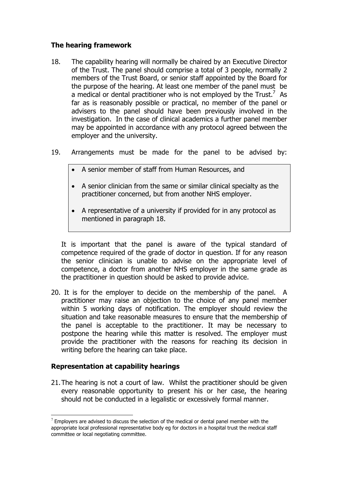#### **The hearing framework**

- 18. The capability hearing will normally be chaired by an Executive Director of the Trust. The panel should comprise a total of 3 people, normally 2 members of the Trust Board, or senior staff appointed by the Board for the purpose of the hearing. At least one member of the panel must be a medical or dental practitioner who is not employed by the Trust.<sup>7</sup> As far as is reasonably possible or practical, no member of the panel or advisers to the panel should have been previously involved in the investigation. In the case of clinical academics a further panel member may be appointed in accordance with any protocol agreed between the employer and the university.
- 19. Arrangements must be made for the panel to be advised by:
	- A senior member of staff from Human Resources, and
	- A senior clinician from the same or similar clinical specialty as the practitioner concerned, but from another NHS employer.
	- A representative of a university if provided for in any protocol as mentioned in paragraph 18.

It is important that the panel is aware of the typical standard of competence required of the grade of doctor in question. If for any reason the senior clinician is unable to advise on the appropriate level of competence, a doctor from another NHS employer in the same grade as the practitioner in question should be asked to provide advice.

20. It is for the employer to decide on the membership of the panel. A practitioner may raise an objection to the choice of any panel member within 5 working days of notification. The employer should review the situation and take reasonable measures to ensure that the membership of the panel is acceptable to the practitioner. It may be necessary to postpone the hearing while this matter is resolved. The employer must provide the practitioner with the reasons for reaching its decision in writing before the hearing can take place.

## **Representation at capability hearings**

 $\overline{a}$ 

21. The hearing is not a court of law. Whilst the practitioner should be given every reasonable opportunity to present his or her case, the hearing should not be conducted in a legalistic or excessively formal manner.

 $7$  Employers are advised to discuss the selection of the medical or dental panel member with the appropriate local professional representative body eg for doctors in a hospital trust the medical staff committee or local negotiating committee.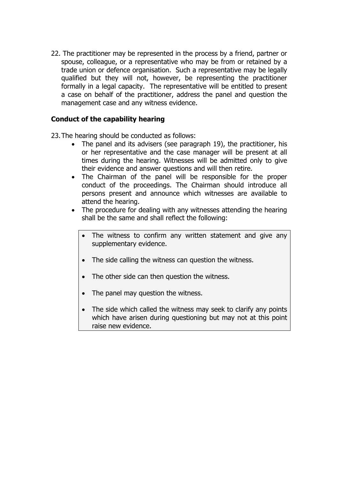22. The practitioner may be represented in the process by a friend, partner or spouse, colleague, or a representative who may be from or retained by a trade union or defence organisation. Such a representative may be legally qualified but they will not, however, be representing the practitioner formally in a legal capacity. The representative will be entitled to present a case on behalf of the practitioner, address the panel and question the management case and any witness evidence.

#### **Conduct of the capability hearing**

23. The hearing should be conducted as follows:

- The panel and its advisers (see paragraph 19), the practitioner, his or her representative and the case manager will be present at all times during the hearing. Witnesses will be admitted only to give their evidence and answer questions and will then retire.
- The Chairman of the panel will be responsible for the proper conduct of the proceedings. The Chairman should introduce all persons present and announce which witnesses are available to attend the hearing.
- The procedure for dealing with any witnesses attending the hearing shall be the same and shall reflect the following:
	- The witness to confirm any written statement and give any supplementary evidence.
	- The side calling the witness can question the witness.
	- The other side can then question the witness.
	- The panel may question the witness.
	- The side which called the witness may seek to clarify any points which have arisen during questioning but may not at this point raise new evidence.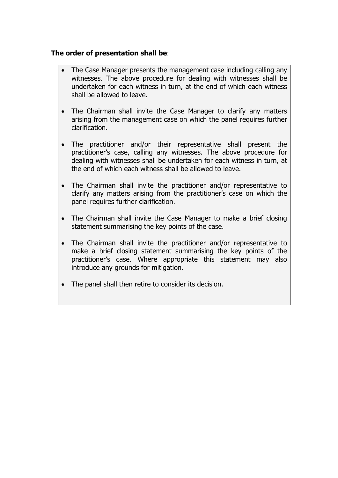#### **The order of presentation shall be**:

- The Case Manager presents the management case including calling any witnesses. The above procedure for dealing with witnesses shall be undertaken for each witness in turn, at the end of which each witness shall be allowed to leave.
- The Chairman shall invite the Case Manager to clarify any matters arising from the management case on which the panel requires further clarification.
- The practitioner and/or their representative shall present the practitioner's case, calling any witnesses. The above procedure for dealing with witnesses shall be undertaken for each witness in turn, at the end of which each witness shall be allowed to leave.
- The Chairman shall invite the practitioner and/or representative to clarify any matters arising from the practitioner's case on which the panel requires further clarification.
- The Chairman shall invite the Case Manager to make a brief closing statement summarising the key points of the case.
- The Chairman shall invite the practitioner and/or representative to make a brief closing statement summarising the key points of the practitioner's case. Where appropriate this statement may also introduce any grounds for mitigation.
- The panel shall then retire to consider its decision.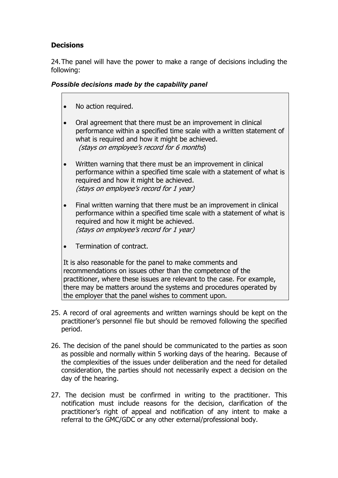# **Decisions**

24. The panel will have the power to make a range of decisions including the following:

#### *Possible decisions made by the capability panel*

- No action required.
- Oral agreement that there must be an improvement in clinical performance within a specified time scale with a written statement of what is required and how it might be achieved. (stays on employee's record for 6 months)
- Written warning that there must be an improvement in clinical performance within a specified time scale with a statement of what is required and how it might be achieved. (stays on employee's record for 1 year)
- Final written warning that there must be an improvement in clinical performance within a specified time scale with a statement of what is required and how it might be achieved. (stays on employee's record for 1 year)
- Termination of contract.

It is also reasonable for the panel to make comments and recommendations on issues other than the competence of the practitioner, where these issues are relevant to the case. For example, there may be matters around the systems and procedures operated by the employer that the panel wishes to comment upon.

- 25. A record of oral agreements and written warnings should be kept on the practitioner's personnel file but should be removed following the specified period.
- 26. The decision of the panel should be communicated to the parties as soon as possible and normally within 5 working days of the hearing. Because of the complexities of the issues under deliberation and the need for detailed consideration, the parties should not necessarily expect a decision on the day of the hearing.
- 27. The decision must be confirmed in writing to the practitioner. This notification must include reasons for the decision, clarification of the practitioner's right of appeal and notification of any intent to make a referral to the GMC/GDC or any other external/professional body.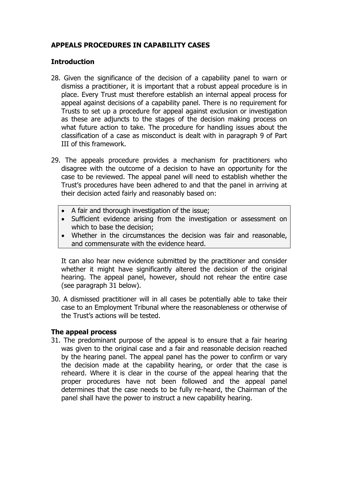## **APPEALS PROCEDURES IN CAPABILITY CASES**

#### **Introduction**

- 28. Given the significance of the decision of a capability panel to warn or dismiss a practitioner, it is important that a robust appeal procedure is in place. Every Trust must therefore establish an internal appeal process for appeal against decisions of a capability panel. There is no requirement for Trusts to set up a procedure for appeal against exclusion or investigation as these are adjuncts to the stages of the decision making process on what future action to take. The procedure for handling issues about the classification of a case as misconduct is dealt with in paragraph 9 of Part III of this framework.
- 29. The appeals procedure provides a mechanism for practitioners who disagree with the outcome of a decision to have an opportunity for the case to be reviewed. The appeal panel will need to establish whether the Trust's procedures have been adhered to and that the panel in arriving at their decision acted fairly and reasonably based on:
	- A fair and thorough investigation of the issue;
	- Sufficient evidence arising from the investigation or assessment on which to base the decision;
	- Whether in the circumstances the decision was fair and reasonable, and commensurate with the evidence heard.

It can also hear new evidence submitted by the practitioner and consider whether it might have significantly altered the decision of the original hearing. The appeal panel, however, should not rehear the entire case (see paragraph 31 below).

30. A dismissed practitioner will in all cases be potentially able to take their case to an Employment Tribunal where the reasonableness or otherwise of the Trust's actions will be tested.

#### **The appeal process**

31. The predominant purpose of the appeal is to ensure that a fair hearing was given to the original case and a fair and reasonable decision reached by the hearing panel. The appeal panel has the power to confirm or vary the decision made at the capability hearing, or order that the case is reheard. Where it is clear in the course of the appeal hearing that the proper procedures have not been followed and the appeal panel determines that the case needs to be fully re-heard, the Chairman of the panel shall have the power to instruct a new capability hearing.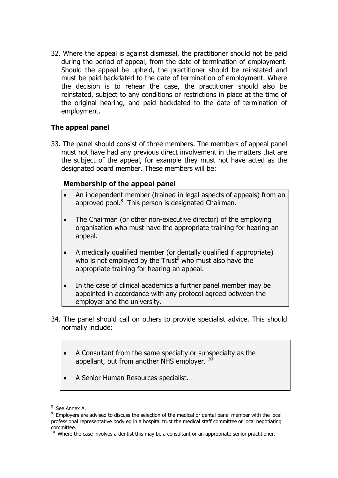32. Where the appeal is against dismissal, the practitioner should not be paid during the period of appeal, from the date of termination of employment. Should the appeal be upheld, the practitioner should be reinstated and must be paid backdated to the date of termination of employment. Where the decision is to rehear the case, the practitioner should also be reinstated, subject to any conditions or restrictions in place at the time of the original hearing, and paid backdated to the date of termination of employment.

## **The appeal panel**

33. The panel should consist of three members. The members of appeal panel must not have had any previous direct involvement in the matters that are the subject of the appeal, for example they must not have acted as the designated board member. These members will be:

# **Membership of the appeal panel**

- An independent member (trained in legal aspects of appeals) from an approved pool.<sup>8</sup> This person is designated Chairman.
- The Chairman (or other non-executive director) of the employing organisation who must have the appropriate training for hearing an appeal.
- A medically qualified member (or dentally qualified if appropriate) who is not employed by the Trust<sup>9</sup> who must also have the appropriate training for hearing an appeal.
- In the case of clinical academics a further panel member may be appointed in accordance with any protocol agreed between the employer and the university.
- 34. The panel should call on others to provide specialist advice. This should normally include:
	- A Consultant from the same specialty or subspecialty as the appellant, but from another NHS employer. <sup>10</sup>
	- A Senior Human Resources specialist.

 $\overline{a}$ <sup>8</sup> See Annex A.

 $9$  Employers are advised to discuss the selection of the medical or dental panel member with the local professional representative body eg in a hospital trust the medical staff committee or local negotiating committee.

 $10$  Where the case involves a dentist this may be a consultant or an appropriate senior practitioner.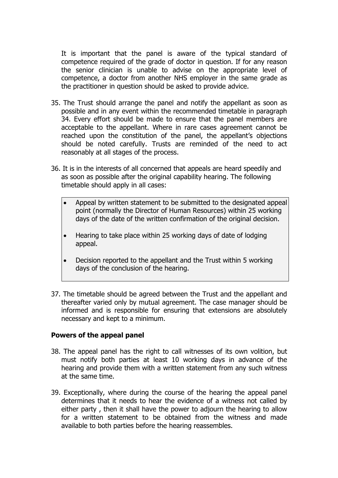It is important that the panel is aware of the typical standard of competence required of the grade of doctor in question. If for any reason the senior clinician is unable to advise on the appropriate level of competence, a doctor from another NHS employer in the same grade as the practitioner in question should be asked to provide advice.

- 35. The Trust should arrange the panel and notify the appellant as soon as possible and in any event within the recommended timetable in paragraph 34. Every effort should be made to ensure that the panel members are acceptable to the appellant. Where in rare cases agreement cannot be reached upon the constitution of the panel, the appellant's objections should be noted carefully. Trusts are reminded of the need to act reasonably at all stages of the process.
- 36. It is in the interests of all concerned that appeals are heard speedily and as soon as possible after the original capability hearing. The following timetable should apply in all cases:
	- Appeal by written statement to be submitted to the designated appeal point (normally the Director of Human Resources) within 25 working days of the date of the written confirmation of the original decision.
	- Hearing to take place within 25 working days of date of lodging appeal.
	- Decision reported to the appellant and the Trust within 5 working days of the conclusion of the hearing.
- 37. The timetable should be agreed between the Trust and the appellant and thereafter varied only by mutual agreement. The case manager should be informed and is responsible for ensuring that extensions are absolutely necessary and kept to a minimum.

#### **Powers of the appeal panel**

- 38. The appeal panel has the right to call witnesses of its own volition, but must notify both parties at least 10 working days in advance of the hearing and provide them with a written statement from any such witness at the same time.
- 39. Exceptionally, where during the course of the hearing the appeal panel determines that it needs to hear the evidence of a witness not called by either party , then it shall have the power to adjourn the hearing to allow for a written statement to be obtained from the witness and made available to both parties before the hearing reassembles.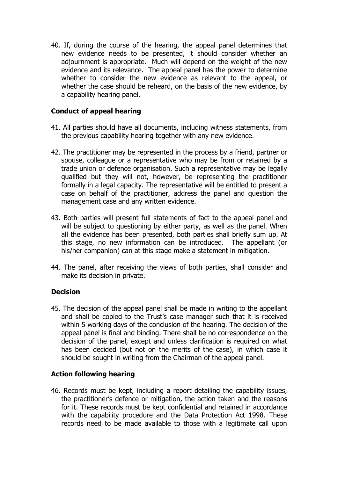40. If, during the course of the hearing, the appeal panel determines that new evidence needs to be presented, it should consider whether an adjournment is appropriate. Much will depend on the weight of the new evidence and its relevance. The appeal panel has the power to determine whether to consider the new evidence as relevant to the appeal, or whether the case should be reheard, on the basis of the new evidence, by a capability hearing panel.

### **Conduct of appeal hearing**

- 41. All parties should have all documents, including witness statements, from the previous capability hearing together with any new evidence.
- 42. The practitioner may be represented in the process by a friend, partner or spouse, colleague or a representative who may be from or retained by a trade union or defence organisation. Such a representative may be legally qualified but they will not, however, be representing the practitioner formally in a legal capacity. The representative will be entitled to present a case on behalf of the practitioner, address the panel and question the management case and any written evidence.
- 43. Both parties will present full statements of fact to the appeal panel and will be subject to questioning by either party, as well as the panel. When all the evidence has been presented, both parties shall briefly sum up. At this stage, no new information can be introduced. The appellant (or his/her companion) can at this stage make a statement in mitigation.
- 44. The panel, after receiving the views of both parties, shall consider and make its decision in private.

#### **Decision**

45. The decision of the appeal panel shall be made in writing to the appellant and shall be copied to the Trust's case manager such that it is received within 5 working days of the conclusion of the hearing. The decision of the appeal panel is final and binding. There shall be no correspondence on the decision of the panel, except and unless clarification is required on what has been decided (but not on the merits of the case), in which case it should be sought in writing from the Chairman of the appeal panel.

#### **Action following hearing**

46. Records must be kept, including a report detailing the capability issues, the practitioner's defence or mitigation, the action taken and the reasons for it. These records must be kept confidential and retained in accordance with the capability procedure and the Data Protection Act 1998. These records need to be made available to those with a legitimate call upon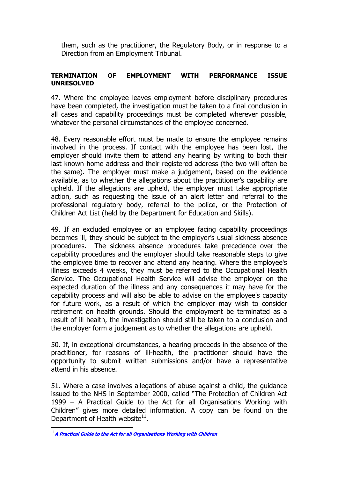them, such as the practitioner, the Regulatory Body, or in response to a Direction from an Employment Tribunal.

#### **TERMINATION OF EMPLOYMENT WITH PERFORMANCE ISSUE UNRESOLVED**

47. Where the employee leaves employment before disciplinary procedures have been completed, the investigation must be taken to a final conclusion in all cases and capability proceedings must be completed wherever possible, whatever the personal circumstances of the employee concerned.

48. Every reasonable effort must be made to ensure the employee remains involved in the process. If contact with the employee has been lost, the employer should invite them to attend any hearing by writing to both their last known home address and their registered address (the two will often be the same). The employer must make a judgement, based on the evidence available, as to whether the allegations about the practitioner's capability are upheld. If the allegations are upheld, the employer must take appropriate action, such as requesting the issue of an alert letter and referral to the professional regulatory body, referral to the police, or the Protection of Children Act List (held by the Department for Education and Skills).

49. If an excluded employee or an employee facing capability proceedings becomes ill, they should be subject to the employer's usual sickness absence procedures. The sickness absence procedures take precedence over the capability procedures and the employer should take reasonable steps to give the employee time to recover and attend any hearing. Where the employee's illness exceeds 4 weeks, they must be referred to the Occupational Health Service. The Occupational Health Service will advise the employer on the expected duration of the illness and any consequences it may have for the capability process and will also be able to advise on the employee's capacity for future work, as a result of which the employer may wish to consider retirement on health grounds. Should the employment be terminated as a result of ill health, the investigation should still be taken to a conclusion and the employer form a judgement as to whether the allegations are upheld.

50. If, in exceptional circumstances, a hearing proceeds in the absence of the practitioner, for reasons of ill-health, the practitioner should have the opportunity to submit written submissions and/or have a representative attend in his absence.

51. Where a case involves allegations of abuse against a child, the guidance issued to the NHS in September 2000, called "The Protection of Children Act 1999 – A Practical Guide to the Act for all Organisations Working with Children" gives more detailed information. A copy can be found on the Department of Health website $11$ .

 $\overline{a}$ 

<sup>11</sup>**[A Practical Guide to the Act for all Organisations Working with Children](http://www.dh.gov.uk/PublicationsAndStatistics/Publications/PublicationsPolicyAndGuidance/Publi cationsPolicyAndGuidanceArticle/fs/en?CONTENT_ID=4006939&chk=OjmkcU)**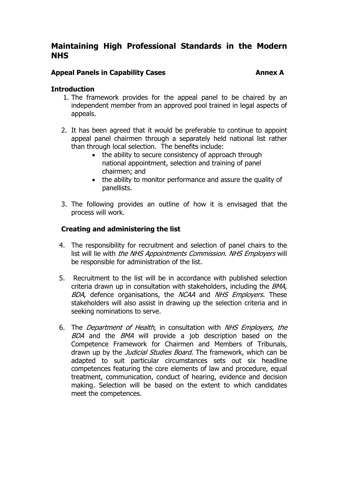### **Appeal Panels in Capability Cases Annex A Contract A Capability Cases**

#### **Introduction**

- 1. The framework provides for the appeal panel to be chaired by an independent member from an approved pool trained in legal aspects of appeals.
- 2. It has been agreed that it would be preferable to continue to appoint appeal panel chairmen through a separately held national list rather than through local selection. The benefits include:
	- the ability to secure consistency of approach through national appointment, selection and training of panel chairmen; and
	- the ability to monitor performance and assure the quality of panellists.
- 3. The following provides an outline of how it is envisaged that the process will work.

### **Creating and administering the list**

- 4. The responsibility for recruitment and selection of panel chairs to the list will lie with the NHS Appointments Commission. NHS Employers will be responsible for administration of the list.
- 5. Recruitment to the list will be in accordance with published selection criteria drawn up in consultation with stakeholders, including the BMA, BDA, defence organisations, the NCAA and NHS Employers. These stakeholders will also assist in drawing up the selection criteria and in seeking nominations to serve.
- 6. The Department of Health, in consultation with NHS Employers, the BDA and the BMA will provide a job description based on the Competence Framework for Chairmen and Members of Tribunals, drawn up by the *Judicial Studies Board*. The framework, which can be adapted to suit particular circumstances sets out six headline competences featuring the core elements of law and procedure, equal treatment, communication, conduct of hearing, evidence and decision making. Selection will be based on the extent to which candidates meet the competences.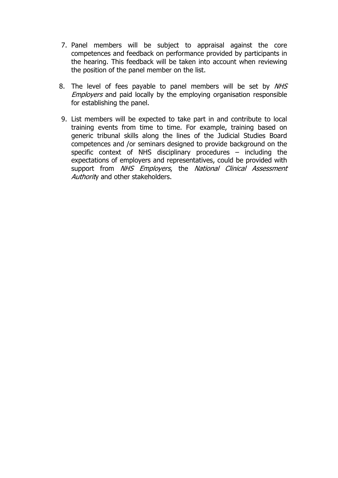- 7. Panel members will be subject to appraisal against the core competences and feedback on performance provided by participants in the hearing. This feedback will be taken into account when reviewing the position of the panel member on the list.
- 8. The level of fees payable to panel members will be set by NHS **Employers and paid locally by the employing organisation responsible** for establishing the panel.
- 9. List members will be expected to take part in and contribute to local training events from time to time. For example, training based on generic tribunal skills along the lines of the Judicial Studies Board competences and /or seminars designed to provide background on the specific context of NHS disciplinary procedures – including the expectations of employers and representatives, could be provided with support from NHS Employers, the National Clinical Assessment Authority and other stakeholders.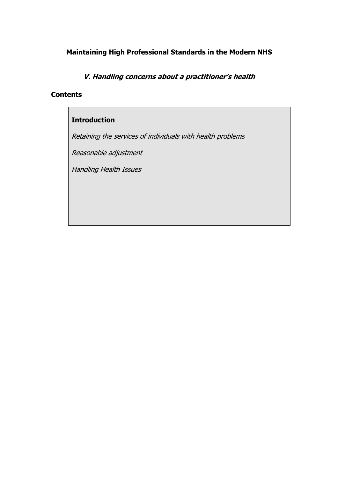**V. Handling concerns about a practitioner's health** 

#### **Contents**

### **Introduction**

Retaining the services of individuals with health problems

Reasonable adjustment

Handling Health Issues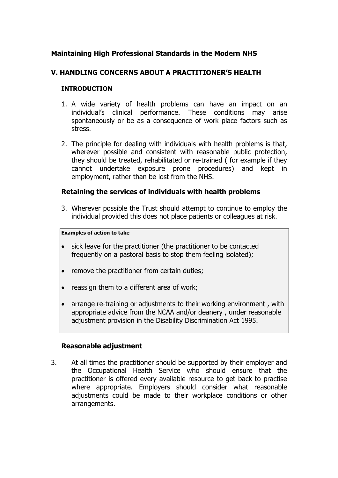#### **V. HANDLING CONCERNS ABOUT A PRACTITIONER'S HEALTH**

#### **INTRODUCTION**

- 1. A wide variety of health problems can have an impact on an individual's clinical performance. These conditions may arise spontaneously or be as a consequence of work place factors such as stress.
- 2. The principle for dealing with individuals with health problems is that, wherever possible and consistent with reasonable public protection, they should be treated, rehabilitated or re-trained ( for example if they cannot undertake exposure prone procedures) and kept in employment, rather than be lost from the NHS.

#### **Retaining the services of individuals with health problems**

3. Wherever possible the Trust should attempt to continue to employ the individual provided this does not place patients or colleagues at risk.

#### **Examples of action to take**

- sick leave for the practitioner (the practitioner to be contacted frequently on a pastoral basis to stop them feeling isolated);
- remove the practitioner from certain duties;
- reassign them to a different area of work;
- arrange re-training or adjustments to their working environment , with appropriate advice from the NCAA and/or deanery , under reasonable adiustment provision in the Disability Discrimination Act 1995.

#### **Reasonable adjustment**

3. At all times the practitioner should be supported by their employer and the Occupational Health Service who should ensure that the practitioner is offered every available resource to get back to practise where appropriate. Employers should consider what reasonable adjustments could be made to their workplace conditions or other arrangements.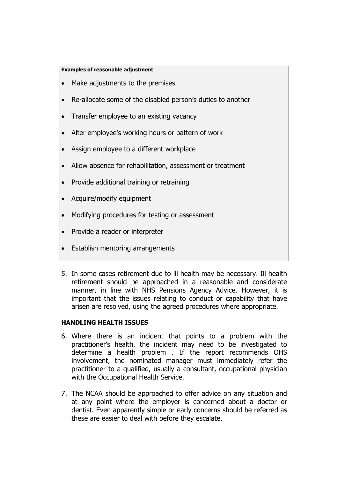#### **Examples of reasonable adjustment**

- Make adjustments to the premises
- Re-allocate some of the disabled person's duties to another
- Transfer employee to an existing vacancy
- Alter employee's working hours or pattern of work
- Assign employee to a different workplace
- Allow absence for rehabilitation, assessment or treatment
- Provide additional training or retraining
- Acquire/modify equipment
- Modifying procedures for testing or assessment
- Provide a reader or interpreter
- Establish mentoring arrangements
- 5. In some cases retirement due to ill health may be necessary. Ill health retirement should be approached in a reasonable and considerate manner, in line with NHS Pensions Agency Advice. However, it is important that the issues relating to conduct or capability that have arisen are resolved, using the agreed procedures where appropriate.

#### **HANDLING HEALTH ISSUES**

- 6. Where there is an incident that points to a problem with the practitioner's health, the incident may need to be investigated to determine a health problem . If the report recommends OHS involvement, the nominated manager must immediately refer the practitioner to a qualified, usually a consultant, occupational physician with the Occupational Health Service.
- 7. The NCAA should be approached to offer advice on any situation and at any point where the employer is concerned about a doctor or dentist. Even apparently simple or early concerns should be referred as these are easier to deal with before they escalate.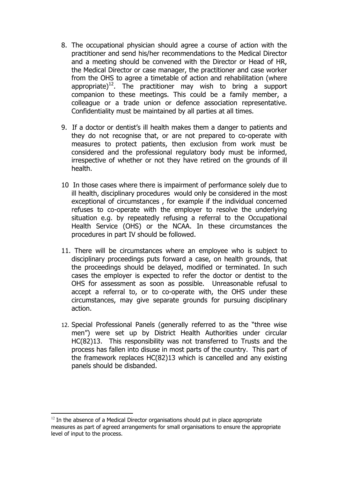- 8. The occupational physician should agree a course of action with the practitioner and send his/her recommendations to the Medical Director and a meeting should be convened with the Director or Head of HR, the Medical Director or case manager, the practitioner and case worker from the OHS to agree a timetable of action and rehabilitation (where appropriate)<sup>12</sup>. The practitioner may wish to bring a support companion to these meetings. This could be a family member, a colleague or a trade union or defence association representative. Confidentiality must be maintained by all parties at all times.
- 9. If a doctor or dentist's ill health makes them a danger to patients and they do not recognise that, or are not prepared to co-operate with measures to protect patients, then exclusion from work must be considered and the professional regulatory body must be informed, irrespective of whether or not they have retired on the grounds of ill health.
- 10 In those cases where there is impairment of performance solely due to ill health, disciplinary procedures would only be considered in the most exceptional of circumstances , for example if the individual concerned refuses to co-operate with the employer to resolve the underlying situation e.g. by repeatedly refusing a referral to the Occupational Health Service (OHS) or the NCAA. In these circumstances the procedures in part IV should be followed.
- 11. There will be circumstances where an employee who is subject to disciplinary proceedings puts forward a case, on health grounds, that the proceedings should be delayed, modified or terminated. In such cases the employer is expected to refer the doctor or dentist to the OHS for assessment as soon as possible. Unreasonable refusal to accept a referral to, or to co-operate with, the OHS under these circumstances, may give separate grounds for pursuing disciplinary action.
- 12. Special Professional Panels (generally referred to as the "three wise men") were set up by District Health Authorities under circular HC(82)13. This responsibility was not transferred to Trusts and the process has fallen into disuse in most parts of the country. This part of the framework replaces HC(82)13 which is cancelled and any existing panels should be disbanded.

 $\overline{a}$ 

 $12$  In the absence of a Medical Director organisations should put in place appropriate measures as part of agreed arrangements for small organisations to ensure the appropriate level of input to the process.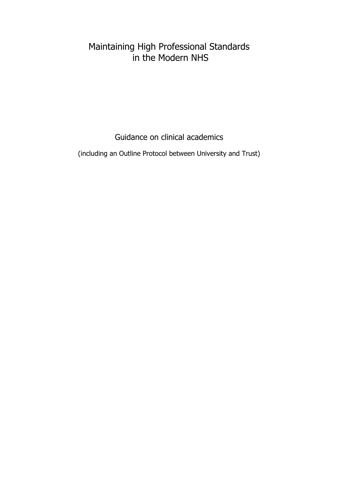Guidance on clinical academics

(including an Outline Protocol between University and Trust)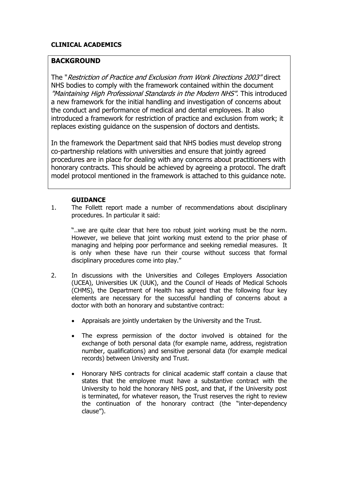#### **CLINICAL ACADEMICS**

#### **BACKGROUND**

The "Restriction of Practice and Exclusion from Work Directions 2003" direct NHS bodies to comply with the framework contained within the document "Maintaining High Professional Standards in the Modern NHS". This introduced a new framework for the initial handling and investigation of concerns about the conduct and performance of medical and dental employees. It also introduced a framework for restriction of practice and exclusion from work; it replaces existing guidance on the suspension of doctors and dentists.

In the framework the Department said that NHS bodies must develop strong co-partnership relations with universities and ensure that jointly agreed procedures are in place for dealing with any concerns about practitioners with honorary contracts. This should be achieved by agreeing a protocol. The draft model protocol mentioned in the framework is attached to this guidance note.

#### **GUIDANCE**

1. The Follett report made a number of recommendations about disciplinary procedures. In particular it said:

"..we are quite clear that here too robust joint working must be the norm. However, we believe that joint working must extend to the prior phase of managing and helping poor performance and seeking remedial measures. It is only when these have run their course without success that formal disciplinary procedures come into play."

- 2. In discussions with the Universities and Colleges Employers Association (UCEA), Universities UK (UUK), and the Council of Heads of Medical Schools (CHMS), the Department of Health has agreed that the following four key elements are necessary for the successful handling of concerns about a doctor with both an honorary and substantive contract:
	- Appraisals are jointly undertaken by the University and the Trust.
	- The express permission of the doctor involved is obtained for the exchange of both personal data (for example name, address, registration number, qualifications) and sensitive personal data (for example medical records) between University and Trust.
	- Honorary NHS contracts for clinical academic staff contain a clause that states that the employee must have a substantive contract with the University to hold the honorary NHS post, and that, if the University post is terminated, for whatever reason, the Trust reserves the right to review the continuation of the honorary contract (the "inter-dependency clause").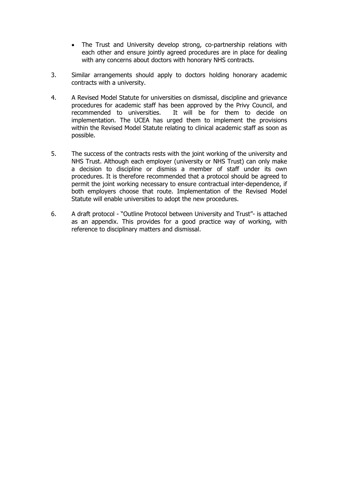- The Trust and University develop strong, co-partnership relations with each other and ensure jointly agreed procedures are in place for dealing with any concerns about doctors with honorary NHS contracts.
- 3. Similar arrangements should apply to doctors holding honorary academic contracts with a university.
- 4. A Revised Model Statute for universities on dismissal, discipline and grievance procedures for academic staff has been approved by the Privy Council, and recommended to universities. It will be for them to decide on implementation. The UCEA has urged them to implement the provisions within the Revised Model Statute relating to clinical academic staff as soon as possible.
- 5. The success of the contracts rests with the joint working of the university and NHS Trust. Although each employer (university or NHS Trust) can only make a decision to discipline or dismiss a member of staff under its own procedures. It is therefore recommended that a protocol should be agreed to permit the joint working necessary to ensure contractual inter-dependence, if both employers choose that route. Implementation of the Revised Model Statute will enable universities to adopt the new procedures.
- 6. A draft protocol "Outline Protocol between University and Trust"- is attached as an appendix. This provides for a good practice way of working, with reference to disciplinary matters and dismissal.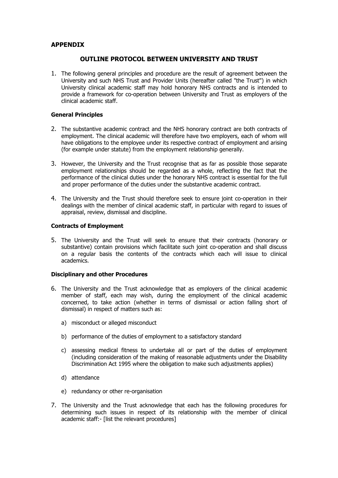#### **APPENDIX**

#### **OUTLINE PROTOCOL BETWEEN UNIVERSITY AND TRUST**

1. The following general principles and procedure are the result of agreement between the University and such NHS Trust and Provider Units (hereafter called "the Trust") in which University clinical academic staff may hold honorary NHS contracts and is intended to provide a framework for co-operation between University and Trust as employers of the clinical academic staff.

#### **General Principles**

- 2. The substantive academic contract and the NHS honorary contract are both contracts of employment. The clinical academic will therefore have two employers, each of whom will have obligations to the employee under its respective contract of employment and arising (for example under statute) from the employment relationship generally.
- 3. However, the University and the Trust recognise that as far as possible those separate employment relationships should be regarded as a whole, reflecting the fact that the performance of the clinical duties under the honorary NHS contract is essential for the full and proper performance of the duties under the substantive academic contract.
- 4. The University and the Trust should therefore seek to ensure joint co-operation in their dealings with the member of clinical academic staff, in particular with regard to issues of appraisal, review, dismissal and discipline.

#### **Contracts of Employment**

5. The University and the Trust will seek to ensure that their contracts (honorary or substantive) contain provisions which facilitate such joint co-operation and shall discuss on a regular basis the contents of the contracts which each will issue to clinical academics.

#### **Disciplinary and other Procedures**

- 6. The University and the Trust acknowledge that as employers of the clinical academic member of staff, each may wish, during the employment of the clinical academic concerned, to take action (whether in terms of dismissal or action falling short of dismissal) in respect of matters such as:
	- a) misconduct or alleged misconduct
	- b) performance of the duties of employment to a satisfactory standard
	- c) assessing medical fitness to undertake all or part of the duties of employment (including consideration of the making of reasonable adjustments under the Disability Discrimination Act 1995 where the obligation to make such adjustments applies)
	- d) attendance
	- e) redundancy or other re-organisation
- 7. The University and the Trust acknowledge that each has the following procedures for determining such issues in respect of its relationship with the member of clinical academic staff:- [list the relevant procedures]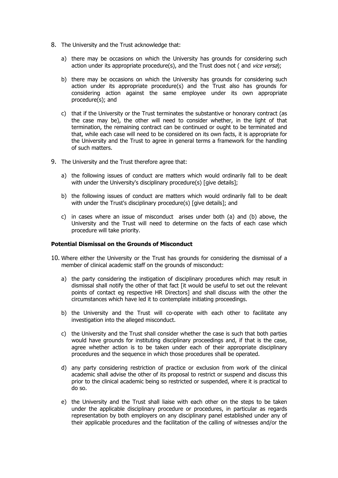- 8. The University and the Trust acknowledge that:
	- a) there may be occasions on which the University has grounds for considering such action under its appropriate procedure(s), and the Trust does not ( and *vice versa*);
	- b) there may be occasions on which the University has grounds for considering such action under its appropriate procedure(s) and the Trust also has grounds for considering action against the same employee under its own appropriate procedure(s); and
	- c) that if the University or the Trust terminates the substantive or honorary contract (as the case may be), the other will need to consider whether, in the light of that termination, the remaining contract can be continued or ought to be terminated and that, while each case will need to be considered on its own facts, it is appropriate for the University and the Trust to agree in general terms a framework for the handling of such matters.
- 9. The University and the Trust therefore agree that:
	- a) the following issues of conduct are matters which would ordinarily fall to be dealt with under the University's disciplinary procedure(s) [give details];
	- b) the following issues of conduct are matters which would ordinarily fall to be dealt with under the Trust's disciplinary procedure(s) [give details]; and
	- c) in cases where an issue of misconduct arises under both (a) and (b) above, the University and the Trust will need to determine on the facts of each case which procedure will take priority.

#### **Potential Dismissal on the Grounds of Misconduct**

- 10. Where either the University or the Trust has grounds for considering the dismissal of a member of clinical academic staff on the grounds of misconduct:
	- a) the party considering the instigation of disciplinary procedures which may result in dismissal shall notify the other of that fact [it would be useful to set out the relevant points of contact eg respective HR Directors] and shall discuss with the other the circumstances which have led it to contemplate initiating proceedings.
	- b) the University and the Trust will co-operate with each other to facilitate any investigation into the alleged misconduct.
	- c) the University and the Trust shall consider whether the case is such that both parties would have grounds for instituting disciplinary proceedings and, if that is the case, agree whether action is to be taken under each of their appropriate disciplinary procedures and the sequence in which those procedures shall be operated.
	- d) any party considering restriction of practice or exclusion from work of the clinical academic shall advise the other of its proposal to restrict or suspend and discuss this prior to the clinical academic being so restricted or suspended, where it is practical to do so.
	- e) the University and the Trust shall liaise with each other on the steps to be taken under the applicable disciplinary procedure or procedures, in particular as regards representation by both employers on any disciplinary panel established under any of their applicable procedures and the facilitation of the calling of witnesses and/or the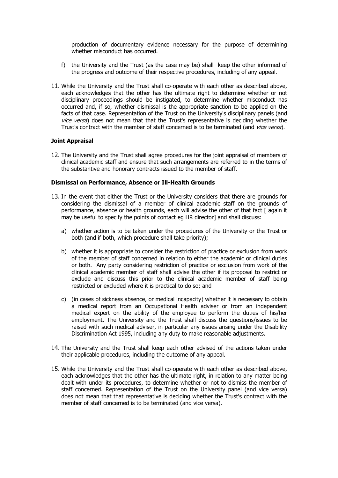production of documentary evidence necessary for the purpose of determining whether misconduct has occurred.

- f) the University and the Trust (as the case may be) shall keep the other informed of the progress and outcome of their respective procedures, including of any appeal.
- 11. While the University and the Trust shall co-operate with each other as described above, each acknowledges that the other has the ultimate right to determine whether or not disciplinary proceedings should be instigated, to determine whether misconduct has occurred and, if so, whether dismissal is the appropriate sanction to be applied on the facts of that case. Representation of the Trust on the University's disciplinary panels (and vice versa) does not mean that that the Trust's representative is deciding whether the Trust's contract with the member of staff concerned is to be terminated (and *vice versa*).

#### **Joint Appraisal**

12. The University and the Trust shall agree procedures for the joint appraisal of members of clinical academic staff and ensure that such arrangements are referred to in the terms of the substantive and honorary contracts issued to the member of staff.

#### **Dismissal on Performance, Absence or Ill-Health Grounds**

- 13. In the event that either the Trust or the University considers that there are grounds for considering the dismissal of a member of clinical academic staff on the grounds of performance, absence or health grounds, each will advise the other of that fact [ again it may be useful to specify the points of contact eg HR director] and shall discuss:
	- a) whether action is to be taken under the procedures of the University or the Trust or both (and if both, which procedure shall take priority);
	- b) whether it is appropriate to consider the restriction of practice or exclusion from work of the member of staff concerned in relation to either the academic or clinical duties or both. Any party considering restriction of practice or exclusion from work of the clinical academic member of staff shall advise the other if its proposal to restrict or exclude and discuss this prior to the clinical academic member of staff being restricted or excluded where it is practical to do so; and
	- c) (in cases of sickness absence, or medical incapacity) whether it is necessary to obtain a medical report from an Occupational Health adviser or from an independent medical expert on the ability of the employee to perform the duties of his/her employment. The University and the Trust shall discuss the questions/issues to be raised with such medical adviser, in particular any issues arising under the Disability Discrimination Act 1995, including any duty to make reasonable adjustments.
- 14. The University and the Trust shall keep each other advised of the actions taken under their applicable procedures, including the outcome of any appeal.
- 15. While the University and the Trust shall co-operate with each other as described above, each acknowledges that the other has the ultimate right, in relation to any matter being dealt with under its procedures, to determine whether or not to dismiss the member of staff concerned. Representation of the Trust on the University panel (and vice versa) does not mean that that representative is deciding whether the Trust's contract with the member of staff concerned is to be terminated (and vice versa).